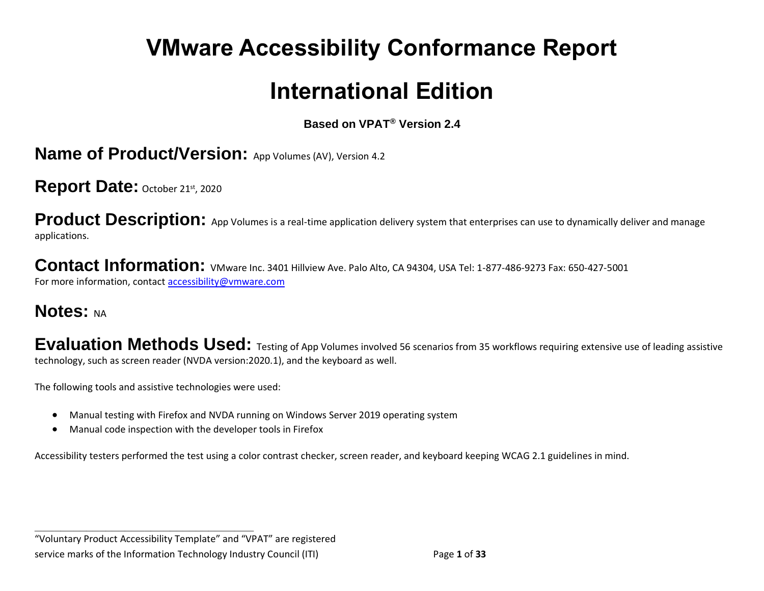# **VMware Accessibility Conformance Report**

## **International Edition**

**Based on VPAT® Version 2.4**

**Name of Product/Version:** App Volumes (AV), Version 4.2

Report Date: October 21st, 2020

**Product Description:** App Volumes is a real-time application delivery system that enterprises can use to dynamically deliver and manage applications.

Contact Information: VMware Inc. 3401 Hillview Ave. Palo Alto, CA 94304, USA Tel: 1-877-486-9273 Fax: 650-427-5001 For more information, contact [accessibility@vmware.com](https://www.etsi.org/deliver/etsi_en/301500_301599/301549/03.01.01_60/en_301549v030101p.pdf)

## **Notes: NA**

**Evaluation Methods Used:** Testing of App Volumes involved 56 scenarios from 35 workflows requiring extensive use of leading assistive technology, such as screen reader (NVDA version:2020.1), and the keyboard as well.

The following tools and assistive technologies were used:

**\_\_\_\_\_\_\_\_\_\_\_\_\_\_\_\_\_\_\_\_\_\_\_\_\_\_\_\_\_\_\_\_\_\_**

- Manual testing with Firefox and NVDA running on Windows Server 2019 operating system
- Manual code inspection with the developer tools in Firefox

Accessibility testers performed the test using a color contrast checker, screen reader, and keyboard keeping WCAG 2.1 guidelines in mind.

"Voluntary Product Accessibility Template" and "VPAT" are registered service marks of the Information Technology Industry Council (ITI) Page **1** of **33**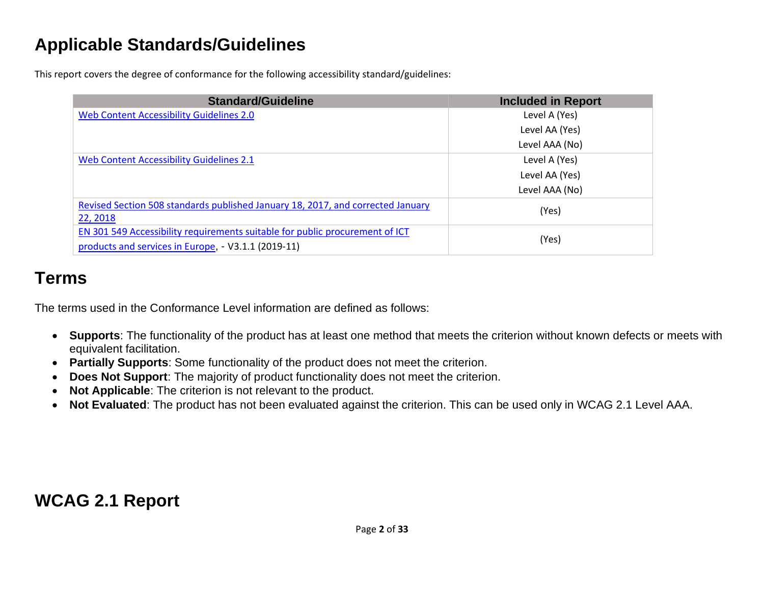## **Applicable Standards/Guidelines**

This report covers the degree of conformance for the following accessibility standard/guidelines:

| <b>Standard/Guideline</b>                                                                                                           | <b>Included in Report</b> |
|-------------------------------------------------------------------------------------------------------------------------------------|---------------------------|
| Web Content Accessibility Guidelines 2.0                                                                                            | Level A (Yes)             |
|                                                                                                                                     | Level AA (Yes)            |
|                                                                                                                                     | Level AAA (No)            |
| Web Content Accessibility Guidelines 2.1                                                                                            | Level A (Yes)             |
|                                                                                                                                     | Level AA (Yes)            |
|                                                                                                                                     | Level AAA (No)            |
| Revised Section 508 standards published January 18, 2017, and corrected January<br>22, 2018                                         | (Yes)                     |
| EN 301 549 Accessibility requirements suitable for public procurement of ICT<br>products and services in Europe, - V3.1.1 (2019-11) | (Yes)                     |

## **Terms**

The terms used in the Conformance Level information are defined as follows:

- **Supports**: The functionality of the product has at least one method that meets the criterion without known defects or meets with equivalent facilitation.
- **Partially Supports**: Some functionality of the product does not meet the criterion.
- **Does Not Support**: The majority of product functionality does not meet the criterion.
- **Not Applicable**: The criterion is not relevant to the product.
- **Not Evaluated**: The product has not been evaluated against the criterion. This can be used only in WCAG 2.1 Level AAA.

## **WCAG 2.1 Report**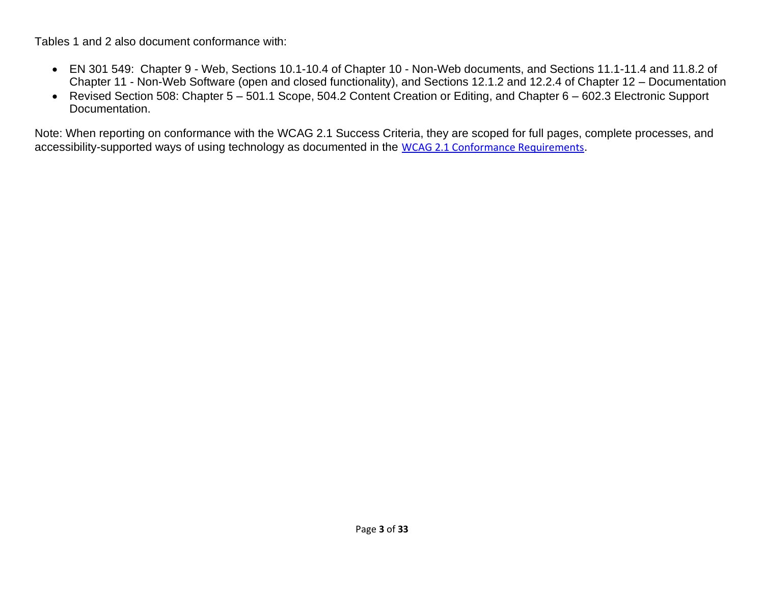Tables 1 and 2 also document conformance with:

- EN 301 549: Chapter 9 Web, Sections 10.1-10.4 of Chapter 10 Non-Web documents, and Sections 11.1-11.4 and 11.8.2 of Chapter 11 - Non-Web Software (open and closed functionality), and Sections 12.1.2 and 12.2.4 of Chapter 12 – Documentation
- Revised Section 508: Chapter 5 501.1 Scope, 504.2 Content Creation or Editing, and Chapter 6 602.3 Electronic Support Documentation.

Note: When reporting on conformance with the WCAG 2.1 Success Criteria, they are scoped for full pages, complete processes, and accessibility-supported ways of using technology as documented in the [WCAG 2.1 Conformance Requirements](file:///C:/Users/dineshkumar.ti/OneDrive%20-%20HCL%20Technologies%20Ltd/All%20Files/VMWare/Scenarios_Schedule/VPAT2.4RevINT--February2020.doc).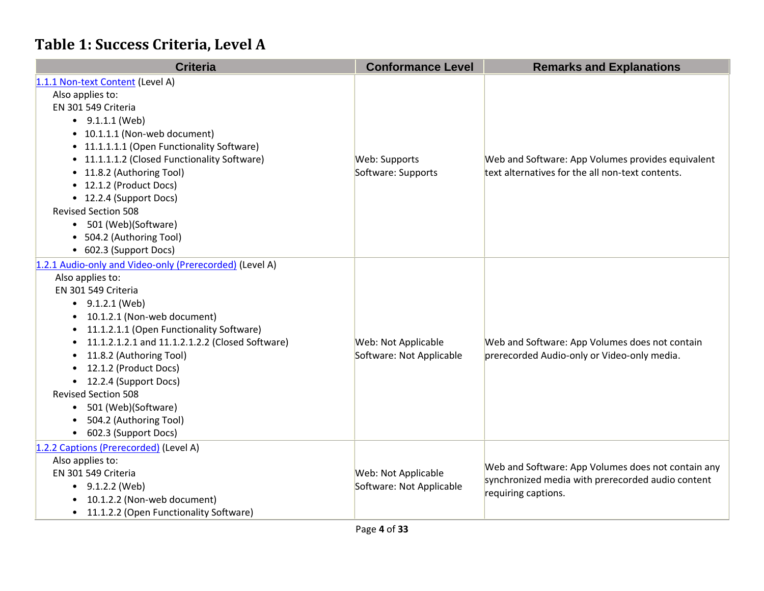## **Table 1: Success Criteria, Level A**

| <b>Criteria</b>                                         | <b>Conformance Level</b> | <b>Remarks and Explanations</b>                    |
|---------------------------------------------------------|--------------------------|----------------------------------------------------|
| 1.1.1 Non-text Content (Level A)                        |                          |                                                    |
| Also applies to:                                        |                          |                                                    |
| EN 301 549 Criteria                                     |                          |                                                    |
| $\bullet$ 9.1.1.1 (Web)                                 |                          |                                                    |
| • 10.1.1.1 (Non-web document)                           |                          |                                                    |
| • 11.1.1.1.1 (Open Functionality Software)              |                          |                                                    |
| • 11.1.1.1.2 (Closed Functionality Software)            | Web: Supports            | Web and Software: App Volumes provides equivalent  |
| • 11.8.2 (Authoring Tool)                               | Software: Supports       | text alternatives for the all non-text contents.   |
| • 12.1.2 (Product Docs)                                 |                          |                                                    |
| • 12.2.4 (Support Docs)                                 |                          |                                                    |
| <b>Revised Section 508</b>                              |                          |                                                    |
| 501 (Web)(Software)                                     |                          |                                                    |
| • 504.2 (Authoring Tool)                                |                          |                                                    |
| • 602.3 (Support Docs)                                  |                          |                                                    |
| 1.2.1 Audio-only and Video-only (Prerecorded) (Level A) |                          |                                                    |
| Also applies to:                                        |                          |                                                    |
| EN 301 549 Criteria                                     |                          |                                                    |
| $\bullet$ 9.1.2.1 (Web)                                 |                          |                                                    |
| 10.1.2.1 (Non-web document)                             |                          |                                                    |
| 11.1.2.1.1 (Open Functionality Software)                |                          |                                                    |
| 11.1.2.1.2.1 and 11.1.2.1.2.2 (Closed Software)         | Web: Not Applicable      | Web and Software: App Volumes does not contain     |
| 11.8.2 (Authoring Tool)                                 | Software: Not Applicable | prerecorded Audio-only or Video-only media.        |
| 12.1.2 (Product Docs)                                   |                          |                                                    |
| 12.2.4 (Support Docs)                                   |                          |                                                    |
| <b>Revised Section 508</b>                              |                          |                                                    |
| 501 (Web)(Software)<br>$\bullet$                        |                          |                                                    |
| 504.2 (Authoring Tool)                                  |                          |                                                    |
| • 602.3 (Support Docs)                                  |                          |                                                    |
| 1.2.2 Captions (Prerecorded) (Level A)                  |                          |                                                    |
| Also applies to:                                        |                          | Web and Software: App Volumes does not contain any |
| EN 301 549 Criteria                                     | Web: Not Applicable      | synchronized media with prerecorded audio content  |
| • $9.1.2.2$ (Web)                                       | Software: Not Applicable | requiring captions.                                |
| 10.1.2.2 (Non-web document)                             |                          |                                                    |
| 11.1.2.2 (Open Functionality Software)<br>$\bullet$     |                          |                                                    |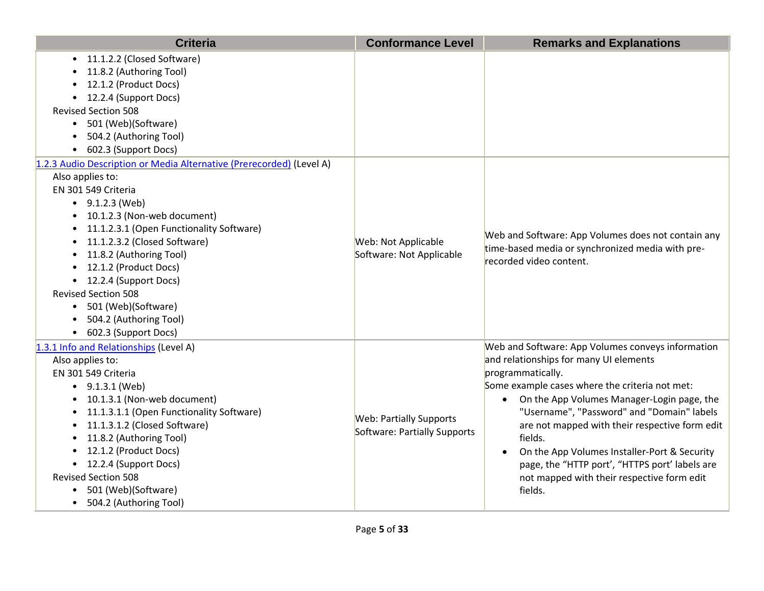| <b>Criteria</b>                                                                                                                                                                                                                                                                                                                                                                                                                                           | <b>Conformance Level</b>                                       | <b>Remarks and Explanations</b>                                                                                                                                                                                                                                                                                                                                                                                                                                                                                  |
|-----------------------------------------------------------------------------------------------------------------------------------------------------------------------------------------------------------------------------------------------------------------------------------------------------------------------------------------------------------------------------------------------------------------------------------------------------------|----------------------------------------------------------------|------------------------------------------------------------------------------------------------------------------------------------------------------------------------------------------------------------------------------------------------------------------------------------------------------------------------------------------------------------------------------------------------------------------------------------------------------------------------------------------------------------------|
| • 11.1.2.2 (Closed Software)<br>11.8.2 (Authoring Tool)<br>12.1.2 (Product Docs)<br>• 12.2.4 (Support Docs)<br><b>Revised Section 508</b><br>• 501 (Web)(Software)<br>504.2 (Authoring Tool)<br>602.3 (Support Docs)                                                                                                                                                                                                                                      |                                                                |                                                                                                                                                                                                                                                                                                                                                                                                                                                                                                                  |
| 1.2.3 Audio Description or Media Alternative (Prerecorded) (Level A)<br>Also applies to:<br>EN 301 549 Criteria<br>$\bullet$ 9.1.2.3 (Web)<br>• 10.1.2.3 (Non-web document)<br>• 11.1.2.3.1 (Open Functionality Software)<br>• 11.1.2.3.2 (Closed Software)<br>• 11.8.2 (Authoring Tool)<br>• 12.1.2 (Product Docs)<br>• 12.2.4 (Support Docs)<br><b>Revised Section 508</b><br>• 501 (Web)(Software)<br>504.2 (Authoring Tool)<br>• 602.3 (Support Docs) | Web: Not Applicable<br>Software: Not Applicable                | Web and Software: App Volumes does not contain any<br>time-based media or synchronized media with pre-<br>recorded video content.                                                                                                                                                                                                                                                                                                                                                                                |
| 1.3.1 Info and Relationships (Level A)<br>Also applies to:<br>EN 301 549 Criteria<br>$\bullet$ 9.1.3.1 (Web)<br>10.1.3.1 (Non-web document)<br>11.1.3.1.1 (Open Functionality Software)<br>$\bullet$<br>11.1.3.1.2 (Closed Software)<br>$\bullet$<br>11.8.2 (Authoring Tool)<br>$\bullet$<br>• 12.1.2 (Product Docs)<br>• 12.2.4 (Support Docs)<br><b>Revised Section 508</b><br>501 (Web)(Software)<br>$\bullet$<br>• 504.2 (Authoring Tool)             | <b>Web: Partially Supports</b><br>Software: Partially Supports | Web and Software: App Volumes conveys information<br>and relationships for many UI elements<br>programmatically.<br>Some example cases where the criteria not met:<br>On the App Volumes Manager-Login page, the<br>$\bullet$<br>"Username", "Password" and "Domain" labels<br>are not mapped with their respective form edit<br>fields.<br>On the App Volumes Installer-Port & Security<br>$\bullet$<br>page, the "HTTP port', "HTTPS port' labels are<br>not mapped with their respective form edit<br>fields. |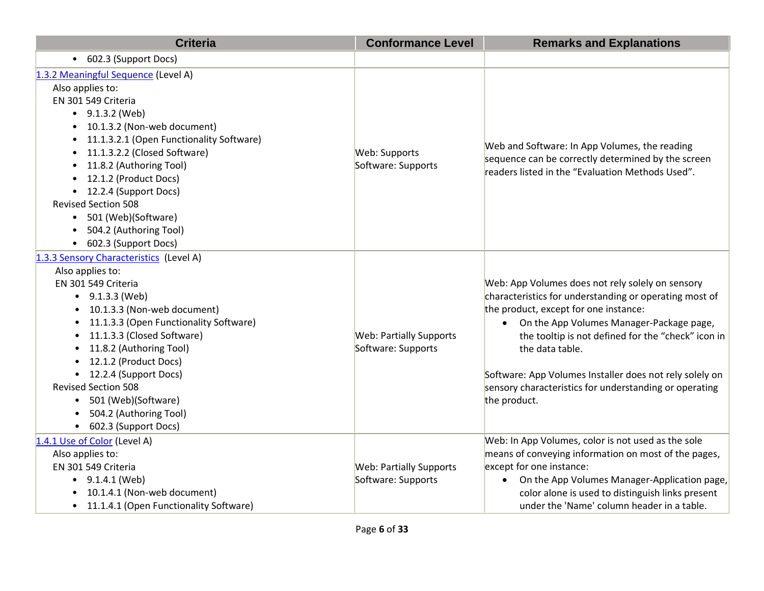| <b>Criteria</b>                                                                                                                                                                                                                                                                                                                                                                                                                                     | <b>Conformance Level</b>                             | <b>Remarks and Explanations</b>                                                                                                                                                                                                                                                                                                                                                                               |
|-----------------------------------------------------------------------------------------------------------------------------------------------------------------------------------------------------------------------------------------------------------------------------------------------------------------------------------------------------------------------------------------------------------------------------------------------------|------------------------------------------------------|---------------------------------------------------------------------------------------------------------------------------------------------------------------------------------------------------------------------------------------------------------------------------------------------------------------------------------------------------------------------------------------------------------------|
| • 602.3 (Support Docs)                                                                                                                                                                                                                                                                                                                                                                                                                              |                                                      |                                                                                                                                                                                                                                                                                                                                                                                                               |
| 1.3.2 Meaningful Sequence (Level A)<br>Also applies to:<br>EN 301 549 Criteria<br>$\bullet$ 9.1.3.2 (Web)<br>10.1.3.2 (Non-web document)<br>11.1.3.2.1 (Open Functionality Software)<br>$\bullet$<br>11.1.3.2.2 (Closed Software)<br>$\bullet$<br>11.8.2 (Authoring Tool)<br>$\bullet$<br>12.1.2 (Product Docs)<br>12.2.4 (Support Docs)<br><b>Revised Section 508</b><br>• 501 (Web)(Software)<br>504.2 (Authoring Tool)<br>• 602.3 (Support Docs) | Web: Supports<br>Software: Supports                  | Web and Software: In App Volumes, the reading<br>sequence can be correctly determined by the screen<br>readers listed in the "Evaluation Methods Used".                                                                                                                                                                                                                                                       |
| 1.3.3 Sensory Characteristics (Level A)<br>Also applies to:<br>EN 301 549 Criteria<br>$\bullet$ 9.1.3.3 (Web)<br>10.1.3.3 (Non-web document)<br>11.1.3.3 (Open Functionality Software)<br>11.1.3.3 (Closed Software)<br>11.8.2 (Authoring Tool)<br>12.1.2 (Product Docs)<br>• 12.2.4 (Support Docs)<br><b>Revised Section 508</b><br>• 501 (Web)(Software)<br>504.2 (Authoring Tool)<br>602.3 (Support Docs)<br>$\bullet$                           | <b>Web: Partially Supports</b><br>Software: Supports | Web: App Volumes does not rely solely on sensory<br>characteristics for understanding or operating most of<br>the product, except for one instance:<br>On the App Volumes Manager-Package page,<br>the tooltip is not defined for the "check" icon in<br>the data table.<br>Software: App Volumes Installer does not rely solely on<br>sensory characteristics for understanding or operating<br>the product. |
| 1.4.1 Use of Color (Level A)<br>Also applies to:<br>EN 301 549 Criteria<br>$\bullet$ 9.1.4.1 (Web)<br>10.1.4.1 (Non-web document)<br>• 11.1.4.1 (Open Functionality Software)                                                                                                                                                                                                                                                                       | <b>Web: Partially Supports</b><br>Software: Supports | Web: In App Volumes, color is not used as the sole<br>means of conveying information on most of the pages,<br>except for one instance:<br>On the App Volumes Manager-Application page,<br>color alone is used to distinguish links present<br>under the 'Name' column header in a table.                                                                                                                      |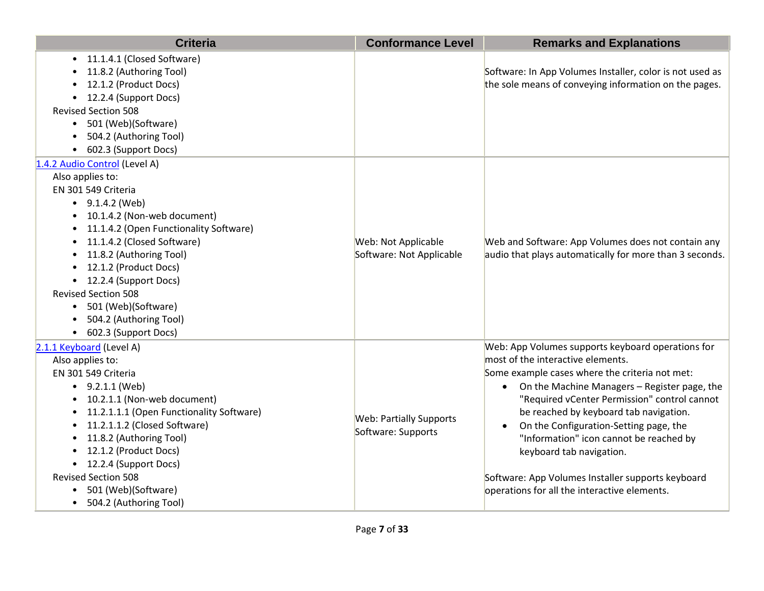| <b>Criteria</b>                                                                                                                                                                                                                                                                                                                                                                                                   | <b>Conformance Level</b>                             | <b>Remarks and Explanations</b>                                                                                                                                                                                                                                                                                                                                                                                                                                                                                                    |
|-------------------------------------------------------------------------------------------------------------------------------------------------------------------------------------------------------------------------------------------------------------------------------------------------------------------------------------------------------------------------------------------------------------------|------------------------------------------------------|------------------------------------------------------------------------------------------------------------------------------------------------------------------------------------------------------------------------------------------------------------------------------------------------------------------------------------------------------------------------------------------------------------------------------------------------------------------------------------------------------------------------------------|
| 11.1.4.1 (Closed Software)<br>11.8.2 (Authoring Tool)<br>12.1.2 (Product Docs)<br>• 12.2.4 (Support Docs)<br><b>Revised Section 508</b><br>501 (Web)(Software)<br>$\bullet$<br>504.2 (Authoring Tool)<br>602.3 (Support Docs)                                                                                                                                                                                     |                                                      | Software: In App Volumes Installer, color is not used as<br>the sole means of conveying information on the pages.                                                                                                                                                                                                                                                                                                                                                                                                                  |
| 1.4.2 Audio Control (Level A)<br>Also applies to:<br>EN 301 549 Criteria<br>$\bullet$ 9.1.4.2 (Web)<br>10.1.4.2 (Non-web document)<br>$\bullet$<br>11.1.4.2 (Open Functionality Software)<br>11.1.4.2 (Closed Software)<br>11.8.2 (Authoring Tool)<br>12.1.2 (Product Docs)<br>• 12.2.4 (Support Docs)<br><b>Revised Section 508</b><br>• 501 (Web)(Software)<br>504.2 (Authoring Tool)<br>• 602.3 (Support Docs) | Web: Not Applicable<br>Software: Not Applicable      | Web and Software: App Volumes does not contain any<br>audio that plays automatically for more than 3 seconds.                                                                                                                                                                                                                                                                                                                                                                                                                      |
| 2.1.1 Keyboard (Level A)<br>Also applies to:<br>EN 301 549 Criteria<br>$\bullet$ 9.2.1.1 (Web)<br>10.2.1.1 (Non-web document)<br>11.2.1.1.1 (Open Functionality Software)<br>11.2.1.1.2 (Closed Software)<br>11.8.2 (Authoring Tool)<br>12.1.2 (Product Docs)<br>• 12.2.4 (Support Docs)<br><b>Revised Section 508</b><br>501 (Web)(Software)<br>$\bullet$<br>504.2 (Authoring Tool)<br>$\bullet$                 | <b>Web: Partially Supports</b><br>Software: Supports | Web: App Volumes supports keyboard operations for<br>most of the interactive elements.<br>Some example cases where the criteria not met:<br>On the Machine Managers - Register page, the<br>$\bullet$<br>"Required vCenter Permission" control cannot<br>be reached by keyboard tab navigation.<br>On the Configuration-Setting page, the<br>$\bullet$<br>"Information" icon cannot be reached by<br>keyboard tab navigation.<br>Software: App Volumes Installer supports keyboard<br>operations for all the interactive elements. |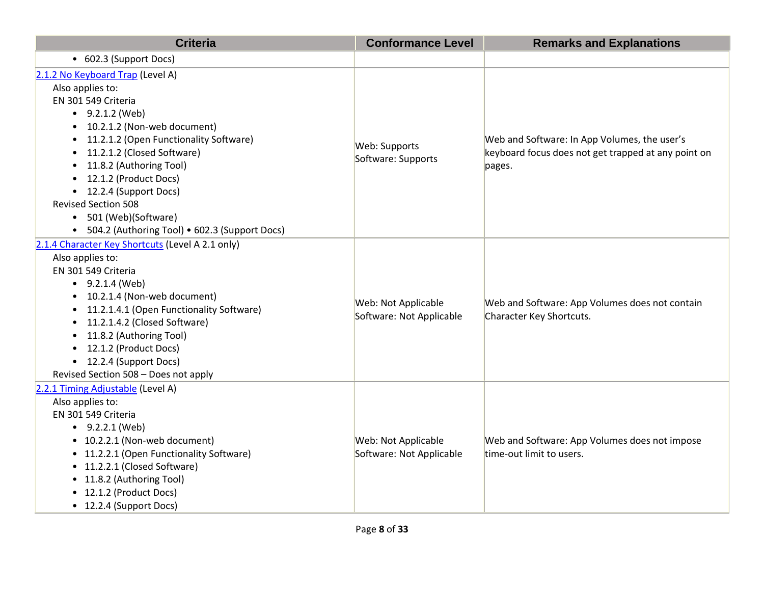| <b>Criteria</b>                                                                                                                                                                                                                                                                                                                                                                                                                                                       | <b>Conformance Level</b>                        | <b>Remarks and Explanations</b>                                                                               |
|-----------------------------------------------------------------------------------------------------------------------------------------------------------------------------------------------------------------------------------------------------------------------------------------------------------------------------------------------------------------------------------------------------------------------------------------------------------------------|-------------------------------------------------|---------------------------------------------------------------------------------------------------------------|
| • 602.3 (Support Docs)                                                                                                                                                                                                                                                                                                                                                                                                                                                |                                                 |                                                                                                               |
| 2.1.2 No Keyboard Trap (Level A)<br>Also applies to:<br>EN 301 549 Criteria<br>$\bullet$ 9.2.1.2 (Web)<br>10.2.1.2 (Non-web document)<br>$\bullet$<br>11.2.1.2 (Open Functionality Software)<br>$\bullet$<br>11.2.1.2 (Closed Software)<br>$\bullet$<br>11.8.2 (Authoring Tool)<br>$\bullet$<br>12.1.2 (Product Docs)<br>12.2.4 (Support Docs)<br>$\bullet$<br><b>Revised Section 508</b><br>• 501 (Web)(Software)<br>• 504.2 (Authoring Tool) • 602.3 (Support Docs) | Web: Supports<br>Software: Supports             | Web and Software: In App Volumes, the user's<br>keyboard focus does not get trapped at any point on<br>pages. |
| 2.1.4 Character Key Shortcuts (Level A 2.1 only)<br>Also applies to:<br>EN 301 549 Criteria<br>$\bullet$ 9.2.1.4 (Web)<br>10.2.1.4 (Non-web document)<br>$\bullet$<br>11.2.1.4.1 (Open Functionality Software)<br>$\bullet$<br>11.2.1.4.2 (Closed Software)<br>$\bullet$<br>11.8.2 (Authoring Tool)<br>$\bullet$<br>12.1.2 (Product Docs)<br>$\bullet$<br>12.2.4 (Support Docs)<br>$\bullet$<br>Revised Section 508 - Does not apply                                  | Web: Not Applicable<br>Software: Not Applicable | Web and Software: App Volumes does not contain<br>Character Key Shortcuts.                                    |
| 2.2.1 Timing Adjustable (Level A)<br>Also applies to:<br>EN 301 549 Criteria<br>$-9.2.2.1$ (Web)<br>• 10.2.2.1 (Non-web document)<br>• 11.2.2.1 (Open Functionality Software)<br>• 11.2.2.1 (Closed Software)<br>• 11.8.2 (Authoring Tool)<br>• 12.1.2 (Product Docs)<br>• 12.2.4 (Support Docs)                                                                                                                                                                      | Web: Not Applicable<br>Software: Not Applicable | Web and Software: App Volumes does not impose<br>time-out limit to users.                                     |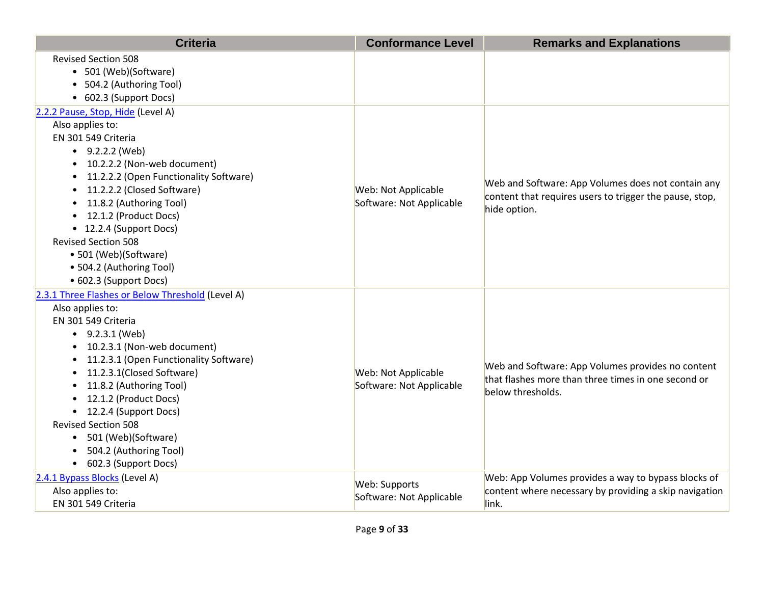| <b>Criteria</b>                                                                                                                                                                                                                                                                                                                                                                                                                                | <b>Conformance Level</b>                        | <b>Remarks and Explanations</b>                                                                                               |
|------------------------------------------------------------------------------------------------------------------------------------------------------------------------------------------------------------------------------------------------------------------------------------------------------------------------------------------------------------------------------------------------------------------------------------------------|-------------------------------------------------|-------------------------------------------------------------------------------------------------------------------------------|
| <b>Revised Section 508</b><br>• 501 (Web)(Software)<br>• 504.2 (Authoring Tool)<br>• 602.3 (Support Docs)                                                                                                                                                                                                                                                                                                                                      |                                                 |                                                                                                                               |
| 2.2.2 Pause, Stop, Hide (Level A)<br>Also applies to:<br>EN 301 549 Criteria<br>$-9.2.2.2$ (Web)<br>10.2.2.2 (Non-web document)<br>11.2.2.2 (Open Functionality Software)<br>11.2.2.2 (Closed Software)<br>11.8.2 (Authoring Tool)<br>• 12.1.2 (Product Docs)<br>• 12.2.4 (Support Docs)<br><b>Revised Section 508</b><br>• 501 (Web)(Software)<br>• 504.2 (Authoring Tool)<br>• 602.3 (Support Docs)                                          | Web: Not Applicable<br>Software: Not Applicable | Web and Software: App Volumes does not contain any<br>content that requires users to trigger the pause, stop,<br>hide option. |
| 2.3.1 Three Flashes or Below Threshold (Level A)<br>Also applies to:<br>EN 301 549 Criteria<br>$\bullet$ 9.2.3.1 (Web)<br>• 10.2.3.1 (Non-web document)<br>11.2.3.1 (Open Functionality Software)<br>11.2.3.1(Closed Software)<br>11.8.2 (Authoring Tool)<br>12.1.2 (Product Docs)<br>• 12.2.4 (Support Docs)<br><b>Revised Section 508</b><br>501 (Web)(Software)<br>$\bullet$<br>504.2 (Authoring Tool)<br>602.3 (Support Docs)<br>$\bullet$ | Web: Not Applicable<br>Software: Not Applicable | Web and Software: App Volumes provides no content<br>that flashes more than three times in one second or<br>below thresholds. |
| 2.4.1 Bypass Blocks (Level A)<br>Also applies to:<br>EN 301 549 Criteria                                                                                                                                                                                                                                                                                                                                                                       | Web: Supports<br>Software: Not Applicable       | Web: App Volumes provides a way to bypass blocks of<br>content where necessary by providing a skip navigation<br>link.        |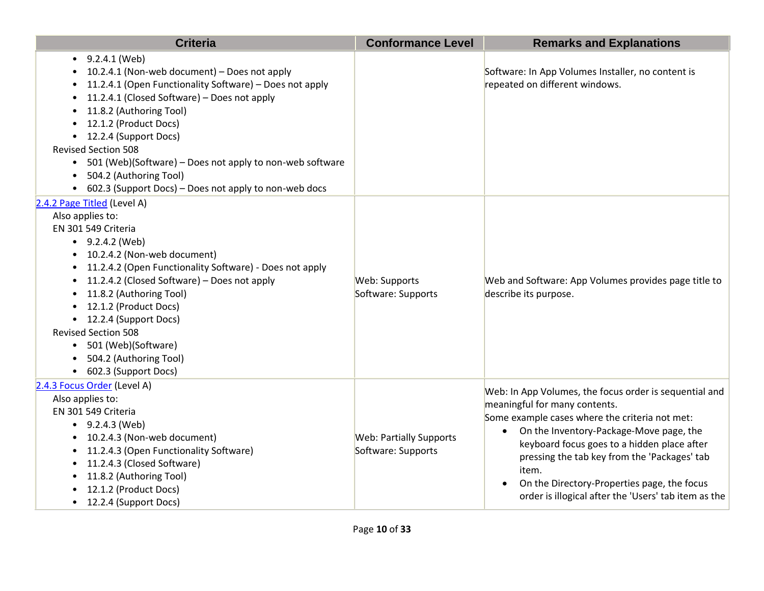| <b>Criteria</b>                                                                                                                                                                                                                                                                                                                                                                                                                                                    | <b>Conformance Level</b>                             | <b>Remarks and Explanations</b>                                                                                                                                                                                                                                                                                                                                                                                  |
|--------------------------------------------------------------------------------------------------------------------------------------------------------------------------------------------------------------------------------------------------------------------------------------------------------------------------------------------------------------------------------------------------------------------------------------------------------------------|------------------------------------------------------|------------------------------------------------------------------------------------------------------------------------------------------------------------------------------------------------------------------------------------------------------------------------------------------------------------------------------------------------------------------------------------------------------------------|
| $-9.2.4.1$ (Web)<br>10.2.4.1 (Non-web document) - Does not apply<br>11.2.4.1 (Open Functionality Software) - Does not apply<br>11.2.4.1 (Closed Software) - Does not apply<br>11.8.2 (Authoring Tool)<br>12.1.2 (Product Docs)<br>• 12.2.4 (Support Docs)<br><b>Revised Section 508</b><br>• 501 (Web)(Software) - Does not apply to non-web software<br>504.2 (Authoring Tool)<br>$\bullet$<br>602.3 (Support Docs) - Does not apply to non-web docs<br>$\bullet$ |                                                      | Software: In App Volumes Installer, no content is<br>repeated on different windows.                                                                                                                                                                                                                                                                                                                              |
| 2.4.2 Page Titled (Level A)<br>Also applies to:<br>EN 301 549 Criteria<br>$\bullet$ 9.2.4.2 (Web)<br>• 10.2.4.2 (Non-web document)<br>11.2.4.2 (Open Functionality Software) - Does not apply<br>11.2.4.2 (Closed Software) - Does not apply<br>11.8.2 (Authoring Tool)<br>12.1.2 (Product Docs)<br>• 12.2.4 (Support Docs)<br><b>Revised Section 508</b><br>• 501 (Web)(Software)<br>504.2 (Authoring Tool)<br>• 602.3 (Support Docs)                             | Web: Supports<br>Software: Supports                  | Web and Software: App Volumes provides page title to<br>describe its purpose.                                                                                                                                                                                                                                                                                                                                    |
| 2.4.3 Focus Order (Level A)<br>Also applies to:<br>EN 301 549 Criteria<br>$\bullet$ 9.2.4.3 (Web)<br>• 10.2.4.3 (Non-web document)<br>• 11.2.4.3 (Open Functionality Software)<br>11.2.4.3 (Closed Software)<br>11.8.2 (Authoring Tool)<br>12.1.2 (Product Docs)<br>• 12.2.4 (Support Docs)                                                                                                                                                                        | <b>Web: Partially Supports</b><br>Software: Supports | Web: In App Volumes, the focus order is sequential and<br>meaningful for many contents.<br>Some example cases where the criteria not met:<br>On the Inventory-Package-Move page, the<br>$\bullet$<br>keyboard focus goes to a hidden place after<br>pressing the tab key from the 'Packages' tab<br>item.<br>On the Directory-Properties page, the focus<br>order is illogical after the 'Users' tab item as the |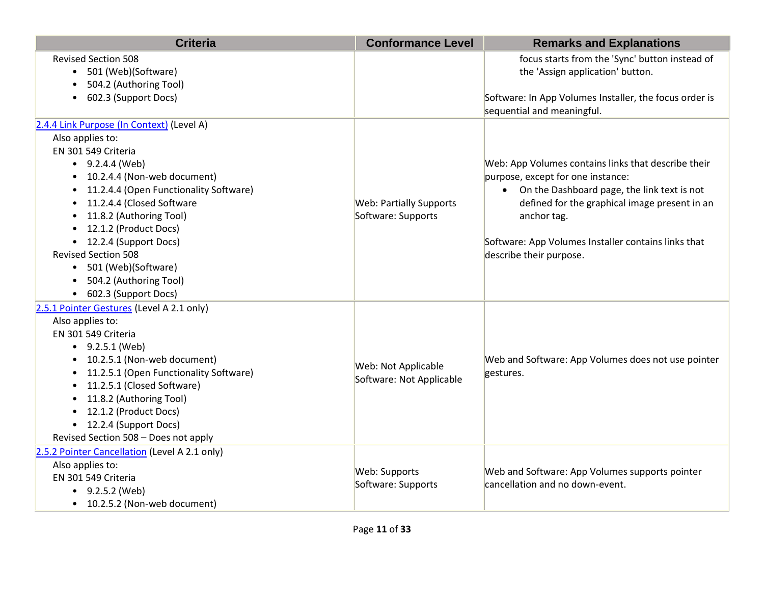| <b>Criteria</b>                                                                                                                                                                                                                                                                                                                                                                                                       | <b>Conformance Level</b>                               | <b>Remarks and Explanations</b>                                                                                                                                                                                                                                                             |
|-----------------------------------------------------------------------------------------------------------------------------------------------------------------------------------------------------------------------------------------------------------------------------------------------------------------------------------------------------------------------------------------------------------------------|--------------------------------------------------------|---------------------------------------------------------------------------------------------------------------------------------------------------------------------------------------------------------------------------------------------------------------------------------------------|
| <b>Revised Section 508</b><br>• 501 (Web)(Software)<br>504.2 (Authoring Tool)<br>602.3 (Support Docs)                                                                                                                                                                                                                                                                                                                 |                                                        | focus starts from the 'Sync' button instead of<br>the 'Assign application' button.<br>Software: In App Volumes Installer, the focus order is<br>sequential and meaningful.                                                                                                                  |
| 2.4.4 Link Purpose (In Context) (Level A)<br>Also applies to:<br>EN 301 549 Criteria<br>$\bullet$ 9.2.4.4 (Web)<br>• 10.2.4.4 (Non-web document)<br>11.2.4.4 (Open Functionality Software)<br>11.2.4.4 (Closed Software<br>11.8.2 (Authoring Tool)<br>• 12.1.2 (Product Docs)<br>• 12.2.4 (Support Docs)<br><b>Revised Section 508</b><br>• 501 (Web)(Software)<br>• 504.2 (Authoring Tool)<br>• 602.3 (Support Docs) | <b>Web: Partially Supports</b><br>Software: Supports   | Web: App Volumes contains links that describe their<br>purpose, except for one instance:<br>• On the Dashboard page, the link text is not<br>defined for the graphical image present in an<br>anchor tag.<br>Software: App Volumes Installer contains links that<br>describe their purpose. |
| 2.5.1 Pointer Gestures (Level A 2.1 only)<br>Also applies to:<br>EN 301 549 Criteria<br>$-9.2.5.1$ (Web)<br>• 10.2.5.1 (Non-web document)<br>11.2.5.1 (Open Functionality Software)<br>11.2.5.1 (Closed Software)<br>11.8.2 (Authoring Tool)<br>• 12.1.2 (Product Docs)<br>• 12.2.4 (Support Docs)<br>Revised Section 508 - Does not apply                                                                            | <b>Web: Not Applicable</b><br>Software: Not Applicable | Web and Software: App Volumes does not use pointer<br>gestures.                                                                                                                                                                                                                             |
| 2.5.2 Pointer Cancellation (Level A 2.1 only)<br>Also applies to:<br>EN 301 549 Criteria<br>$-9.2.5.2$ (Web)<br>• 10.2.5.2 (Non-web document)                                                                                                                                                                                                                                                                         | Web: Supports<br>Software: Supports                    | Web and Software: App Volumes supports pointer<br>cancellation and no down-event.                                                                                                                                                                                                           |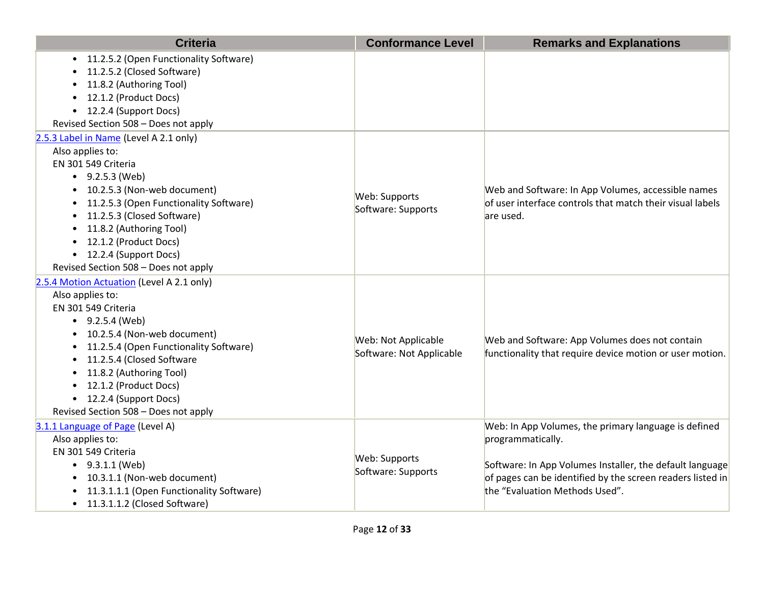| <b>Criteria</b>                                                                                                                                                                                                                                                                                                                                                            | <b>Conformance Level</b>                        | <b>Remarks and Explanations</b>                                                                                                                                                                                                       |
|----------------------------------------------------------------------------------------------------------------------------------------------------------------------------------------------------------------------------------------------------------------------------------------------------------------------------------------------------------------------------|-------------------------------------------------|---------------------------------------------------------------------------------------------------------------------------------------------------------------------------------------------------------------------------------------|
| • 11.2.5.2 (Open Functionality Software)<br>11.2.5.2 (Closed Software)<br>11.8.2 (Authoring Tool)<br>12.1.2 (Product Docs)<br>• 12.2.4 (Support Docs)<br>Revised Section 508 - Does not apply                                                                                                                                                                              |                                                 |                                                                                                                                                                                                                                       |
| 2.5.3 Label in Name (Level A 2.1 only)                                                                                                                                                                                                                                                                                                                                     |                                                 |                                                                                                                                                                                                                                       |
| Also applies to:<br>EN 301 549 Criteria<br>$\bullet$ 9.2.5.3 (Web)<br>10.2.5.3 (Non-web document)<br>11.2.5.3 (Open Functionality Software)<br>11.2.5.3 (Closed Software)<br>11.8.2 (Authoring Tool)<br>• 12.1.2 (Product Docs)<br>• 12.2.4 (Support Docs)<br>Revised Section 508 - Does not apply                                                                         | Web: Supports<br>Software: Supports             | Web and Software: In App Volumes, accessible names<br>of user interface controls that match their visual labels<br>are used.                                                                                                          |
| 2.5.4 Motion Actuation (Level A 2.1 only)<br>Also applies to:<br>EN 301 549 Criteria<br>$\bullet$ 9.2.5.4 (Web)<br>• 10.2.5.4 (Non-web document)<br>11.2.5.4 (Open Functionality Software)<br>11.2.5.4 (Closed Software<br>$\bullet$<br>11.8.2 (Authoring Tool)<br>$\bullet$<br>• 12.1.2 (Product Docs)<br>• 12.2.4 (Support Docs)<br>Revised Section 508 - Does not apply | Web: Not Applicable<br>Software: Not Applicable | Web and Software: App Volumes does not contain<br>functionality that require device motion or user motion.                                                                                                                            |
| 3.1.1 Language of Page (Level A)<br>Also applies to:<br>EN 301 549 Criteria<br>$\bullet$ 9.3.1.1 (Web)<br>• 10.3.1.1 (Non-web document)<br>• 11.3.1.1.1 (Open Functionality Software)<br>• 11.3.1.1.2 (Closed Software)                                                                                                                                                    | Web: Supports<br>Software: Supports             | Web: In App Volumes, the primary language is defined<br>programmatically.<br>Software: In App Volumes Installer, the default language<br>of pages can be identified by the screen readers listed in<br>the "Evaluation Methods Used". |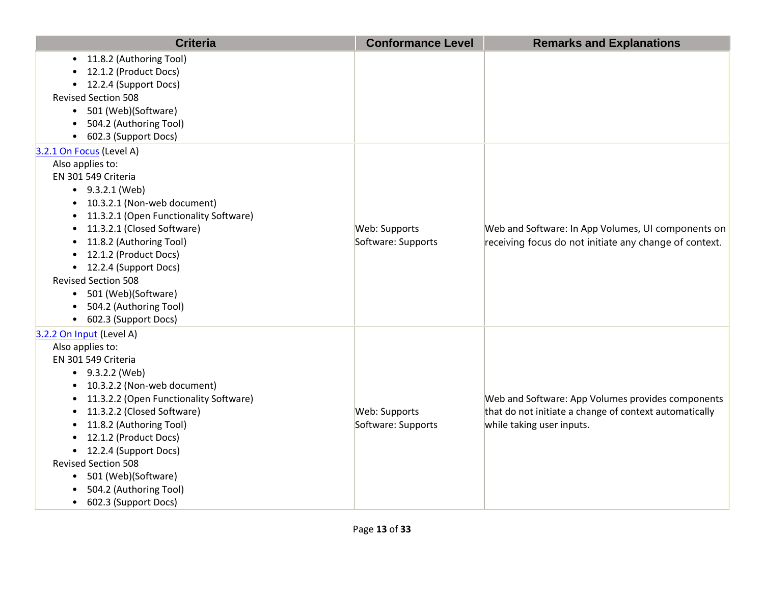| <b>Criteria</b>                                                                                                                                                                                                                                                                                                                                                                                                                          | <b>Conformance Level</b>            | <b>Remarks and Explanations</b>                                                                                                          |
|------------------------------------------------------------------------------------------------------------------------------------------------------------------------------------------------------------------------------------------------------------------------------------------------------------------------------------------------------------------------------------------------------------------------------------------|-------------------------------------|------------------------------------------------------------------------------------------------------------------------------------------|
| • 11.8.2 (Authoring Tool)<br>12.1.2 (Product Docs)<br>• 12.2.4 (Support Docs)<br><b>Revised Section 508</b><br>• 501 (Web)(Software)<br>504.2 (Authoring Tool)<br>• 602.3 (Support Docs)                                                                                                                                                                                                                                                 |                                     |                                                                                                                                          |
| 3.2.1 On Focus (Level A)<br>Also applies to:<br>EN 301 549 Criteria<br>$\bullet$ 9.3.2.1 (Web)<br>• 10.3.2.1 (Non-web document)<br>11.3.2.1 (Open Functionality Software)<br>11.3.2.1 (Closed Software)<br>11.8.2 (Authoring Tool)<br>• 12.1.2 (Product Docs)<br>• 12.2.4 (Support Docs)<br><b>Revised Section 508</b><br>• 501 (Web)(Software)<br>504.2 (Authoring Tool)<br>• 602.3 (Support Docs)                                      | Web: Supports<br>Software: Supports | Web and Software: In App Volumes, UI components on<br>receiving focus do not initiate any change of context.                             |
| 3.2.2 On Input (Level A)<br>Also applies to:<br>EN 301 549 Criteria<br>$-9.3.2.2$ (Web)<br>10.3.2.2 (Non-web document)<br>11.3.2.2 (Open Functionality Software)<br>11.3.2.2 (Closed Software)<br>11.8.2 (Authoring Tool)<br>$\bullet$<br>12.1.2 (Product Docs)<br>$\bullet$<br>• 12.2.4 (Support Docs)<br><b>Revised Section 508</b><br>501 (Web)(Software)<br>$\bullet$<br>504.2 (Authoring Tool)<br>602.3 (Support Docs)<br>$\bullet$ | Web: Supports<br>Software: Supports | Web and Software: App Volumes provides components<br>that do not initiate a change of context automatically<br>while taking user inputs. |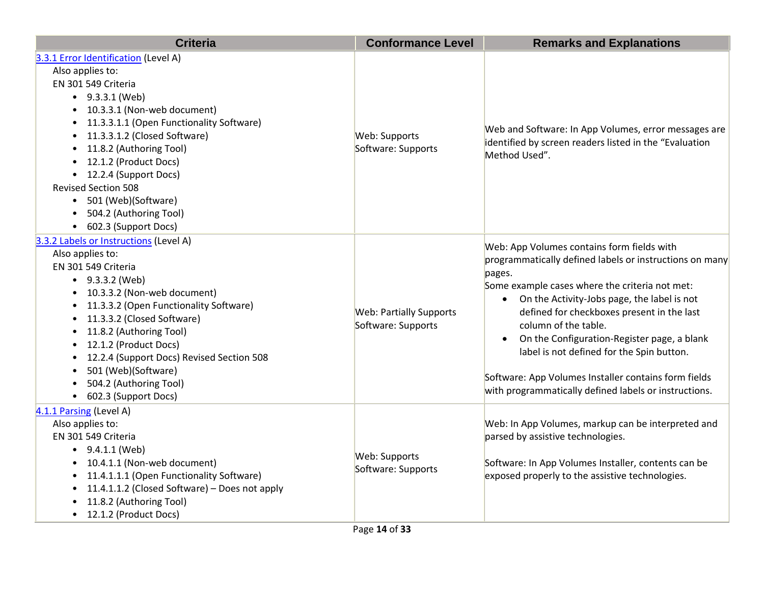| <b>Criteria</b>                                                                                                                                                                                                                                                                                                                                                                                                                                     | <b>Conformance Level</b>                             | <b>Remarks and Explanations</b>                                                                                                                                                                                                                                                                                                                                                                                                                                                                     |
|-----------------------------------------------------------------------------------------------------------------------------------------------------------------------------------------------------------------------------------------------------------------------------------------------------------------------------------------------------------------------------------------------------------------------------------------------------|------------------------------------------------------|-----------------------------------------------------------------------------------------------------------------------------------------------------------------------------------------------------------------------------------------------------------------------------------------------------------------------------------------------------------------------------------------------------------------------------------------------------------------------------------------------------|
| 3.3.1 Error Identification (Level A)<br>Also applies to:<br>EN 301 549 Criteria<br>$-9.3.3.1$ (Web)<br>• 10.3.3.1 (Non-web document)<br>11.3.3.1.1 (Open Functionality Software)<br>$\bullet$<br>11.3.3.1.2 (Closed Software)<br>$\bullet$<br>11.8.2 (Authoring Tool)<br>$\bullet$<br>• 12.1.2 (Product Docs)<br>• 12.2.4 (Support Docs)<br><b>Revised Section 508</b><br>• 501 (Web)(Software)<br>504.2 (Authoring Tool)<br>• 602.3 (Support Docs) | Web: Supports<br>Software: Supports                  | Web and Software: In App Volumes, error messages are<br>identified by screen readers listed in the "Evaluation<br>Method Used".                                                                                                                                                                                                                                                                                                                                                                     |
| 3.3.2 Labels or Instructions (Level A)<br>Also applies to:<br>EN 301 549 Criteria<br>$-9.3.3.2$ (Web)<br>• 10.3.3.2 (Non-web document)<br>• 11.3.3.2 (Open Functionality Software)<br>• 11.3.3.2 (Closed Software)<br>• 11.8.2 (Authoring Tool)<br>• 12.1.2 (Product Docs)<br>• 12.2.4 (Support Docs) Revised Section 508<br>501 (Web)(Software)<br>$\bullet$<br>504.2 (Authoring Tool)<br>• 602.3 (Support Docs)                                   | <b>Web: Partially Supports</b><br>Software: Supports | Web: App Volumes contains form fields with<br>programmatically defined labels or instructions on many<br>pages.<br>Some example cases where the criteria not met:<br>On the Activity-Jobs page, the label is not<br>defined for checkboxes present in the last<br>column of the table.<br>On the Configuration-Register page, a blank<br>label is not defined for the Spin button.<br>Software: App Volumes Installer contains form fields<br>with programmatically defined labels or instructions. |
| 4.1.1 Parsing (Level A)<br>Also applies to:<br>EN 301 549 Criteria<br>$\bullet$ 9.4.1.1 (Web)<br>• 10.4.1.1 (Non-web document)<br>• 11.4.1.1.1 (Open Functionality Software)<br>• 11.4.1.1.2 (Closed Software) - Does not apply<br>11.8.2 (Authoring Tool)<br>• 12.1.2 (Product Docs)                                                                                                                                                               | Web: Supports<br>Software: Supports                  | Web: In App Volumes, markup can be interpreted and<br>parsed by assistive technologies.<br>Software: In App Volumes Installer, contents can be<br>exposed properly to the assistive technologies.                                                                                                                                                                                                                                                                                                   |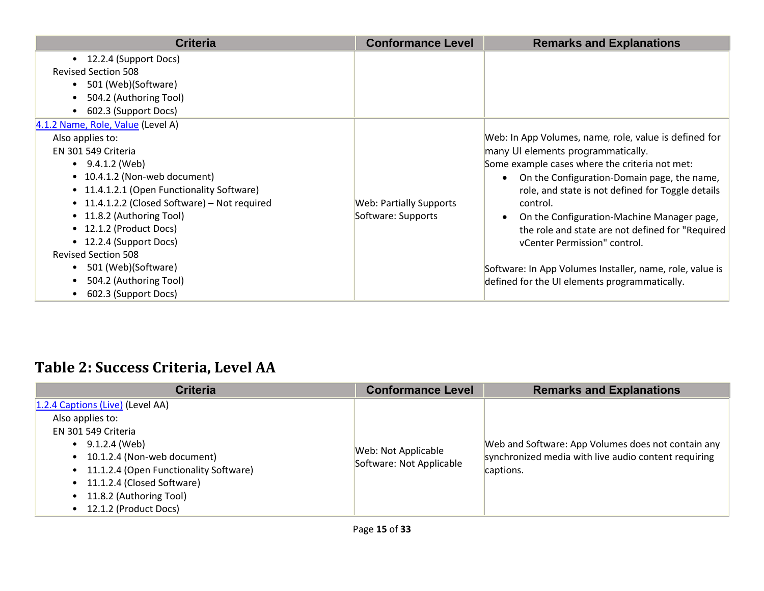| <b>Criteria</b>                               | <b>Conformance Level</b> | <b>Remarks and Explanations</b>                          |
|-----------------------------------------------|--------------------------|----------------------------------------------------------|
| 12.2.4 (Support Docs)<br>$\bullet$            |                          |                                                          |
| <b>Revised Section 508</b>                    |                          |                                                          |
| 501 (Web)(Software)<br>$\bullet$              |                          |                                                          |
| 504.2 (Authoring Tool)                        |                          |                                                          |
| 602.3 (Support Docs)<br>$\bullet$             |                          |                                                          |
| 4.1.2 Name, Role, Value (Level A)             |                          |                                                          |
| Also applies to:                              |                          | Web: In App Volumes, name, role, value is defined for    |
| EN 301 549 Criteria                           |                          | many UI elements programmatically.                       |
| $\bullet$ 9.4.1.2 (Web)                       |                          | Some example cases where the criteria not met:           |
| • 10.4.1.2 (Non-web document)                 |                          | On the Configuration-Domain page, the name,              |
| • 11.4.1.2.1 (Open Functionality Software)    |                          | role, and state is not defined for Toggle details        |
| • 11.4.1.2.2 (Closed Software) – Not required | Web: Partially Supports  | control.                                                 |
| • 11.8.2 (Authoring Tool)                     | Software: Supports       | On the Configuration-Machine Manager page,               |
| • 12.1.2 (Product Docs)                       |                          | the role and state are not defined for "Required         |
| • 12.2.4 (Support Docs)                       |                          | vCenter Permission" control.                             |
| <b>Revised Section 508</b>                    |                          |                                                          |
| 501 (Web)(Software)<br>$\bullet$              |                          | Software: In App Volumes Installer, name, role, value is |
| 504.2 (Authoring Tool)                        |                          | defined for the UI elements programmatically.            |
| 602.3 (Support Docs)<br>$\bullet$             |                          |                                                          |

## **Table 2: Success Criteria, Level AA**

| <b>Criteria</b>                                                                                                                                                                     | <b>Conformance Level</b>                        | <b>Remarks and Explanations</b>                                                                            |
|-------------------------------------------------------------------------------------------------------------------------------------------------------------------------------------|-------------------------------------------------|------------------------------------------------------------------------------------------------------------|
| 1.2.4 Captions (Live) (Level AA)<br>Also applies to:<br>EN 301 549 Criteria<br>$\bullet$ 9.1.2.4 (Web)<br>• 10.1.2.4 (Non-web document)<br>• 11.1.2.4 (Open Functionality Software) | Web: Not Applicable<br>Software: Not Applicable | Web and Software: App Volumes does not contain any<br>synchronized media with live audio content requiring |
| • 11.1.2.4 (Closed Software)<br>• 11.8.2 (Authoring Tool)<br>• 12.1.2 (Product Docs)                                                                                                |                                                 | captions.                                                                                                  |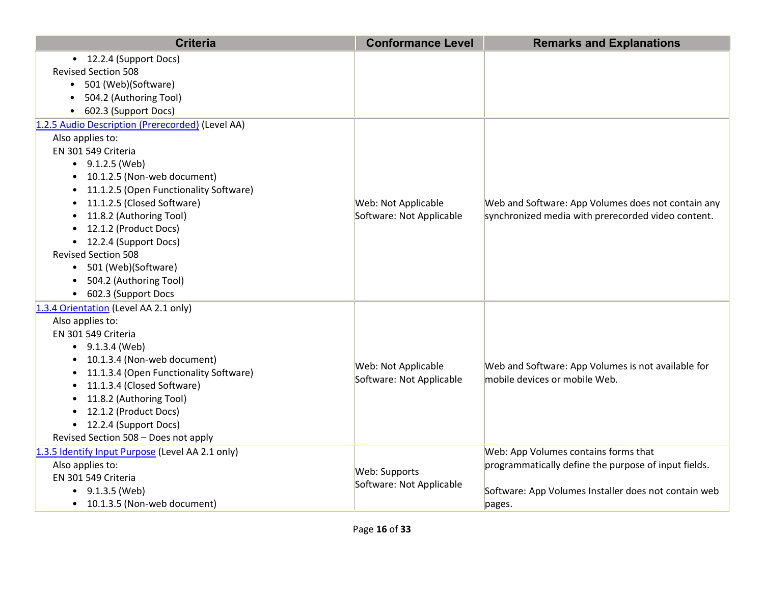| <b>Criteria</b>                                       | <b>Conformance Level</b> | <b>Remarks and Explanations</b>                      |
|-------------------------------------------------------|--------------------------|------------------------------------------------------|
| • 12.2.4 (Support Docs)<br><b>Revised Section 508</b> |                          |                                                      |
| • 501 (Web)(Software)                                 |                          |                                                      |
| 504.2 (Authoring Tool)                                |                          |                                                      |
| 602.3 (Support Docs)<br>$\bullet$                     |                          |                                                      |
| 1.2.5 Audio Description (Prerecorded) (Level AA)      |                          |                                                      |
| Also applies to:                                      |                          |                                                      |
| EN 301 549 Criteria                                   |                          |                                                      |
| $\bullet$ 9.1.2.5 (Web)                               |                          |                                                      |
| • 10.1.2.5 (Non-web document)                         |                          |                                                      |
| • 11.1.2.5 (Open Functionality Software)              |                          |                                                      |
| • 11.1.2.5 (Closed Software)                          | Web: Not Applicable      | Web and Software: App Volumes does not contain any   |
| • 11.8.2 (Authoring Tool)                             | Software: Not Applicable | synchronized media with prerecorded video content.   |
| • 12.1.2 (Product Docs)                               |                          |                                                      |
| • 12.2.4 (Support Docs)                               |                          |                                                      |
| <b>Revised Section 508</b>                            |                          |                                                      |
| • 501 (Web)(Software)                                 |                          |                                                      |
| • 504.2 (Authoring Tool)                              |                          |                                                      |
| • 602.3 (Support Docs                                 |                          |                                                      |
| 1.3.4 Orientation (Level AA 2.1 only)                 |                          |                                                      |
| Also applies to:                                      |                          |                                                      |
| EN 301 549 Criteria                                   |                          |                                                      |
| $-9.1.3.4$ (Web)                                      |                          |                                                      |
| • 10.1.3.4 (Non-web document)                         | Web: Not Applicable      | Web and Software: App Volumes is not available for   |
| • 11.1.3.4 (Open Functionality Software)              | Software: Not Applicable | mobile devices or mobile Web.                        |
| • 11.1.3.4 (Closed Software)                          |                          |                                                      |
| 11.8.2 (Authoring Tool)                               |                          |                                                      |
| • 12.1.2 (Product Docs)<br>• 12.2.4 (Support Docs)    |                          |                                                      |
| Revised Section 508 - Does not apply                  |                          |                                                      |
| 1.3.5 Identify Input Purpose (Level AA 2.1 only)      |                          | Web: App Volumes contains forms that                 |
| Also applies to:                                      |                          | programmatically define the purpose of input fields. |
| EN 301 549 Criteria                                   | Web: Supports            |                                                      |
| • $9.1.3.5$ (Web)                                     | Software: Not Applicable | Software: App Volumes Installer does not contain web |
| • 10.1.3.5 (Non-web document)                         |                          | pages.                                               |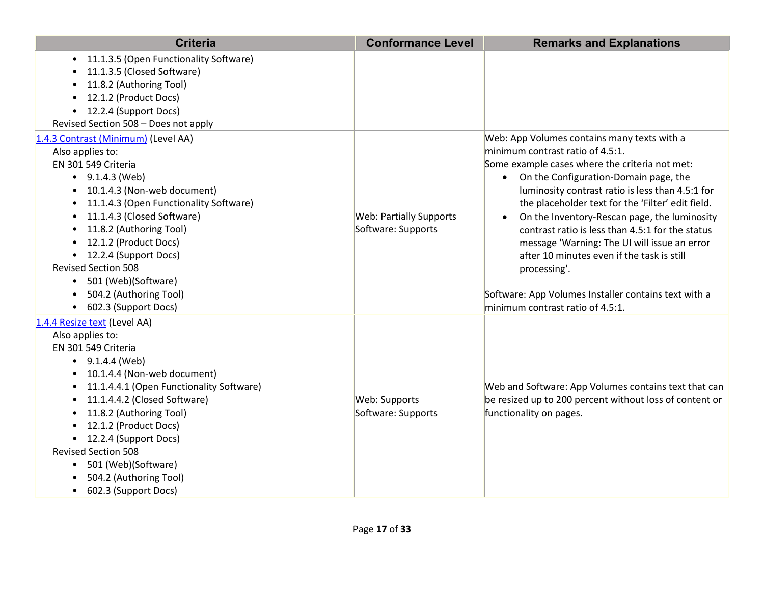| <b>Criteria</b>                                                                                                                                                                                                                                                                                                                                                                                                                                                         | <b>Conformance Level</b>                             | <b>Remarks and Explanations</b>                                                                                                                                                                                                                                                                                                                                                                                                                                                                                                                                                                                             |
|-------------------------------------------------------------------------------------------------------------------------------------------------------------------------------------------------------------------------------------------------------------------------------------------------------------------------------------------------------------------------------------------------------------------------------------------------------------------------|------------------------------------------------------|-----------------------------------------------------------------------------------------------------------------------------------------------------------------------------------------------------------------------------------------------------------------------------------------------------------------------------------------------------------------------------------------------------------------------------------------------------------------------------------------------------------------------------------------------------------------------------------------------------------------------------|
| 11.1.3.5 (Open Functionality Software)<br>$\bullet$<br>11.1.3.5 (Closed Software)<br>11.8.2 (Authoring Tool)<br>12.1.2 (Product Docs)<br>12.2.4 (Support Docs)<br>$\bullet$<br>Revised Section 508 - Does not apply                                                                                                                                                                                                                                                     |                                                      |                                                                                                                                                                                                                                                                                                                                                                                                                                                                                                                                                                                                                             |
| 1.4.3 Contrast (Minimum) (Level AA)<br>Also applies to:<br>EN 301 549 Criteria<br>$\bullet$ 9.1.4.3 (Web)<br>10.1.4.3 (Non-web document)<br>11.1.4.3 (Open Functionality Software)<br>11.1.4.3 (Closed Software)<br>$\bullet$<br>11.8.2 (Authoring Tool)<br>$\bullet$<br>12.1.2 (Product Docs)<br>$\bullet$<br>• 12.2.4 (Support Docs)<br><b>Revised Section 508</b><br>501 (Web)(Software)<br>$\bullet$<br>504.2 (Authoring Tool)<br>602.3 (Support Docs)<br>$\bullet$ | <b>Web: Partially Supports</b><br>Software: Supports | Web: App Volumes contains many texts with a<br>minimum contrast ratio of 4.5:1.<br>Some example cases where the criteria not met:<br>On the Configuration-Domain page, the<br>$\bullet$<br>luminosity contrast ratio is less than 4.5:1 for<br>the placeholder text for the 'Filter' edit field.<br>On the Inventory-Rescan page, the luminosity<br>$\bullet$<br>contrast ratio is less than 4.5:1 for the status<br>message 'Warning: The UI will issue an error<br>after 10 minutes even if the task is still<br>processing'.<br>Software: App Volumes Installer contains text with a<br>minimum contrast ratio of 4.5:1. |
| 1.4.4 Resize text (Level AA)<br>Also applies to:<br>EN 301 549 Criteria<br>$\bullet$ 9.1.4.4 (Web)<br>• 10.1.4.4 (Non-web document)<br>11.1.4.4.1 (Open Functionality Software)<br>11.1.4.4.2 (Closed Software)<br>11.8.2 (Authoring Tool)<br>12.1.2 (Product Docs)<br>• 12.2.4 (Support Docs)<br><b>Revised Section 508</b><br>501 (Web)(Software)<br>$\bullet$<br>504.2 (Authoring Tool)<br>602.3 (Support Docs)<br>$\bullet$                                         | Web: Supports<br>Software: Supports                  | Web and Software: App Volumes contains text that can<br>be resized up to 200 percent without loss of content or<br>functionality on pages.                                                                                                                                                                                                                                                                                                                                                                                                                                                                                  |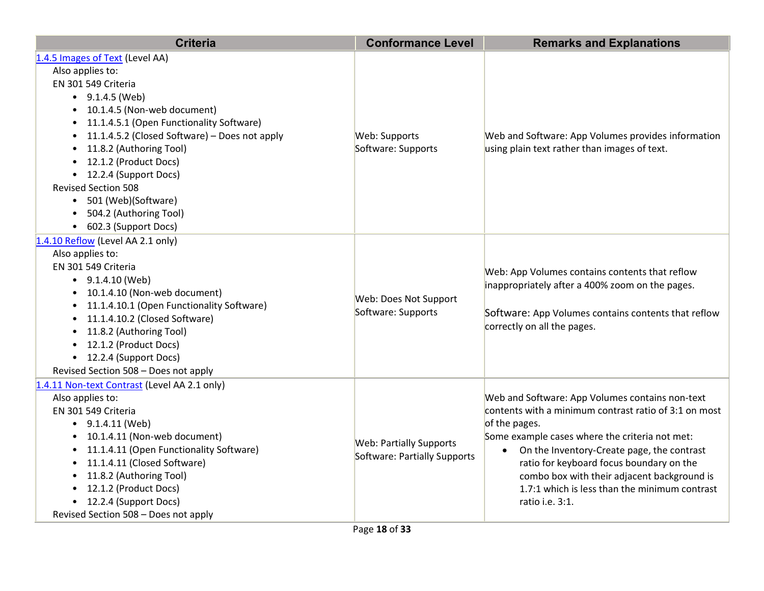| <b>Criteria</b>                                                                                                                                                                                                                                                                                                                                                                                                                                                        | <b>Conformance Level</b>                                       | <b>Remarks and Explanations</b>                                                                                                                                                                                                                                                                                                                                                          |
|------------------------------------------------------------------------------------------------------------------------------------------------------------------------------------------------------------------------------------------------------------------------------------------------------------------------------------------------------------------------------------------------------------------------------------------------------------------------|----------------------------------------------------------------|------------------------------------------------------------------------------------------------------------------------------------------------------------------------------------------------------------------------------------------------------------------------------------------------------------------------------------------------------------------------------------------|
| 1.4.5 Images of Text (Level AA)<br>Also applies to:<br>EN 301 549 Criteria<br>$\bullet$ 9.1.4.5 (Web)<br>• 10.1.4.5 (Non-web document)<br>11.1.4.5.1 (Open Functionality Software)<br>$\bullet$<br>11.1.4.5.2 (Closed Software) – Does not apply<br>$\bullet$<br>11.8.2 (Authoring Tool)<br>$\bullet$<br>• 12.1.2 (Product Docs)<br>• 12.2.4 (Support Docs)<br><b>Revised Section 508</b><br>• 501 (Web)(Software)<br>504.2 (Authoring Tool)<br>• 602.3 (Support Docs) | Web: Supports<br>Software: Supports                            | Web and Software: App Volumes provides information<br>using plain text rather than images of text.                                                                                                                                                                                                                                                                                       |
| 1.4.10 Reflow (Level AA 2.1 only)<br>Also applies to:<br>EN 301 549 Criteria<br>$\bullet$ 9.1.4.10 (Web)<br>• 10.1.4.10 (Non-web document)<br>• 11.1.4.10.1 (Open Functionality Software)<br>• 11.1.4.10.2 (Closed Software)<br>• 11.8.2 (Authoring Tool)<br>• 12.1.2 (Product Docs)<br>• 12.2.4 (Support Docs)<br>Revised Section 508 - Does not apply                                                                                                                | Web: Does Not Support<br>Software: Supports                    | Web: App Volumes contains contents that reflow<br>inappropriately after a 400% zoom on the pages.<br>Software: App Volumes contains contents that reflow<br>correctly on all the pages.                                                                                                                                                                                                  |
| 1.4.11 Non-text Contrast (Level AA 2.1 only)<br>Also applies to:<br>EN 301 549 Criteria<br>$\bullet$ 9.1.4.11 (Web)<br>• 10.1.4.11 (Non-web document)<br>• 11.1.4.11 (Open Functionality Software)<br>11.1.4.11 (Closed Software)<br>• 11.8.2 (Authoring Tool)<br>• 12.1.2 (Product Docs)<br>• 12.2.4 (Support Docs)<br>Revised Section 508 - Does not apply                                                                                                           | <b>Web: Partially Supports</b><br>Software: Partially Supports | Web and Software: App Volumes contains non-text<br>contents with a minimum contrast ratio of 3:1 on most<br>of the pages.<br>Some example cases where the criteria not met:<br>On the Inventory-Create page, the contrast<br>ratio for keyboard focus boundary on the<br>combo box with their adjacent background is<br>1.7:1 which is less than the minimum contrast<br>ratio i.e. 3:1. |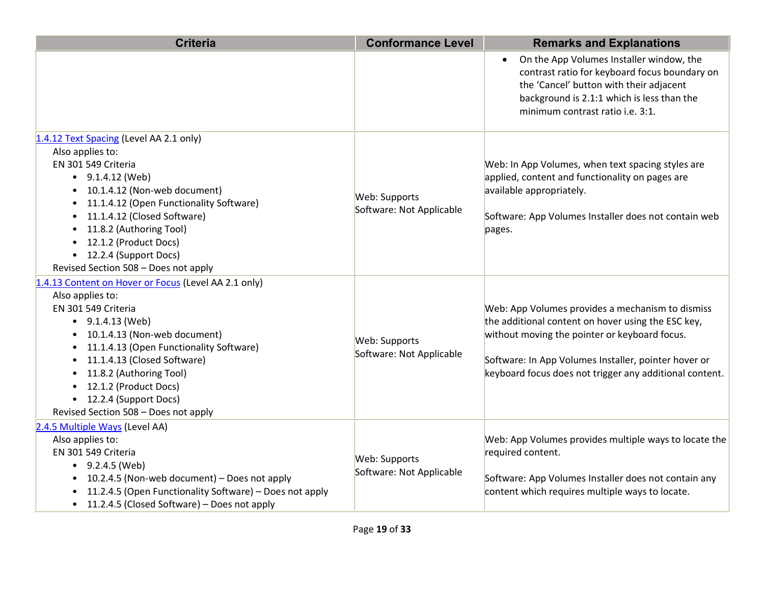| <b>Criteria</b>                                                                                                                                                                                                                                                                                                                                                                                                               | <b>Conformance Level</b>                  | <b>Remarks and Explanations</b>                                                                                                                                                                                                                                            |
|-------------------------------------------------------------------------------------------------------------------------------------------------------------------------------------------------------------------------------------------------------------------------------------------------------------------------------------------------------------------------------------------------------------------------------|-------------------------------------------|----------------------------------------------------------------------------------------------------------------------------------------------------------------------------------------------------------------------------------------------------------------------------|
|                                                                                                                                                                                                                                                                                                                                                                                                                               |                                           | On the App Volumes Installer window, the<br>$\bullet$<br>contrast ratio for keyboard focus boundary on<br>the 'Cancel' button with their adjacent<br>background is 2.1:1 which is less than the<br>minimum contrast ratio <i>i.e.</i> 3:1.                                 |
| 1.4.12 Text Spacing (Level AA 2.1 only)<br>Also applies to:<br>EN 301 549 Criteria<br>$\bullet$ 9.1.4.12 (Web)<br>10.1.4.12 (Non-web document)<br>11.1.4.12 (Open Functionality Software)<br>11.1.4.12 (Closed Software)<br>11.8.2 (Authoring Tool)<br>12.1.2 (Product Docs)<br>• 12.2.4 (Support Docs)<br>Revised Section 508 - Does not apply                                                                               | Web: Supports<br>Software: Not Applicable | Web: In App Volumes, when text spacing styles are<br>applied, content and functionality on pages are<br>available appropriately.<br>Software: App Volumes Installer does not contain web<br>pages.                                                                         |
| 1.4.13 Content on Hover or Focus (Level AA 2.1 only)<br>Also applies to:<br>EN 301 549 Criteria<br>$\bullet$ 9.1.4.13 (Web)<br>10.1.4.13 (Non-web document)<br>$\bullet$<br>11.1.4.13 (Open Functionality Software)<br>$\bullet$<br>11.1.4.13 (Closed Software)<br>$\bullet$<br>11.8.2 (Authoring Tool)<br>$\bullet$<br>12.1.2 (Product Docs)<br>$\bullet$<br>• 12.2.4 (Support Docs)<br>Revised Section 508 - Does not apply | Web: Supports<br>Software: Not Applicable | Web: App Volumes provides a mechanism to dismiss<br>the additional content on hover using the ESC key,<br>without moving the pointer or keyboard focus.<br>Software: In App Volumes Installer, pointer hover or<br>keyboard focus does not trigger any additional content. |
| 2.4.5 Multiple Ways (Level AA)<br>Also applies to:<br>EN 301 549 Criteria<br>$\bullet$ 9.2.4.5 (Web)<br>10.2.4.5 (Non-web document) - Does not apply<br>11.2.4.5 (Open Functionality Software) - Does not apply<br>11.2.4.5 (Closed Software) – Does not apply<br>$\bullet$                                                                                                                                                   | Web: Supports<br>Software: Not Applicable | Web: App Volumes provides multiple ways to locate the<br>required content.<br>Software: App Volumes Installer does not contain any<br>content which requires multiple ways to locate.                                                                                      |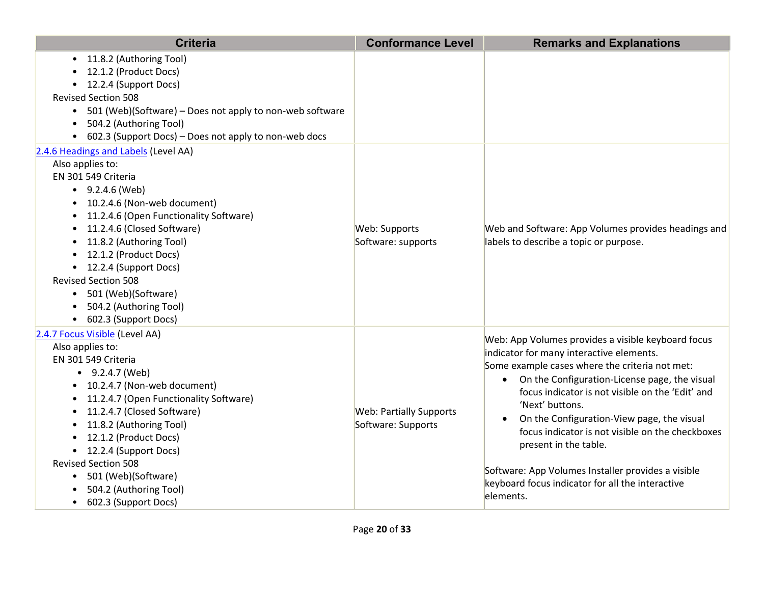| <b>Criteria</b>                                                                                                                                                                                                                                                                                                                                                                                                                                                    | <b>Conformance Level</b>                             | <b>Remarks and Explanations</b>                                                                                                                                                                                                                                                                                                                                                                                                                                                                                                                      |
|--------------------------------------------------------------------------------------------------------------------------------------------------------------------------------------------------------------------------------------------------------------------------------------------------------------------------------------------------------------------------------------------------------------------------------------------------------------------|------------------------------------------------------|------------------------------------------------------------------------------------------------------------------------------------------------------------------------------------------------------------------------------------------------------------------------------------------------------------------------------------------------------------------------------------------------------------------------------------------------------------------------------------------------------------------------------------------------------|
| 11.8.2 (Authoring Tool)<br>$\bullet$<br>12.1.2 (Product Docs)<br>• 12.2.4 (Support Docs)<br><b>Revised Section 508</b><br>501 (Web)(Software) – Does not apply to non-web software<br>$\bullet$<br>504.2 (Authoring Tool)<br>$\bullet$<br>602.3 (Support Docs) - Does not apply to non-web docs                                                                                                                                                                    |                                                      |                                                                                                                                                                                                                                                                                                                                                                                                                                                                                                                                                      |
| 2.4.6 Headings and Labels (Level AA)<br>Also applies to:<br>EN 301 549 Criteria<br>$\bullet$ 9.2.4.6 (Web)<br>10.2.4.6 (Non-web document)<br>11.2.4.6 (Open Functionality Software)<br>11.2.4.6 (Closed Software)<br>11.8.2 (Authoring Tool)<br>12.1.2 (Product Docs)<br>• 12.2.4 (Support Docs)<br><b>Revised Section 508</b><br>• 501 (Web)(Software)<br>504.2 (Authoring Tool)<br>• 602.3 (Support Docs)                                                        | Web: Supports<br>Software: supports                  | Web and Software: App Volumes provides headings and<br>labels to describe a topic or purpose.                                                                                                                                                                                                                                                                                                                                                                                                                                                        |
| 2.4.7 Focus Visible (Level AA)<br>Also applies to:<br>EN 301 549 Criteria<br>$\bullet$ 9.2.4.7 (Web)<br>10.2.4.7 (Non-web document)<br>11.2.4.7 (Open Functionality Software)<br>11.2.4.7 (Closed Software)<br>$\bullet$<br>11.8.2 (Authoring Tool)<br>$\bullet$<br>12.1.2 (Product Docs)<br>$\bullet$<br>• 12.2.4 (Support Docs)<br><b>Revised Section 508</b><br>501 (Web)(Software)<br>$\bullet$<br>504.2 (Authoring Tool)<br>602.3 (Support Docs)<br>$\bullet$ | <b>Web: Partially Supports</b><br>Software: Supports | Web: App Volumes provides a visible keyboard focus<br>indicator for many interactive elements.<br>Some example cases where the criteria not met:<br>On the Configuration-License page, the visual<br>$\bullet$<br>focus indicator is not visible on the 'Edit' and<br>'Next' buttons.<br>On the Configuration-View page, the visual<br>$\bullet$<br>focus indicator is not visible on the checkboxes<br>present in the table.<br>Software: App Volumes Installer provides a visible<br>keyboard focus indicator for all the interactive<br>elements. |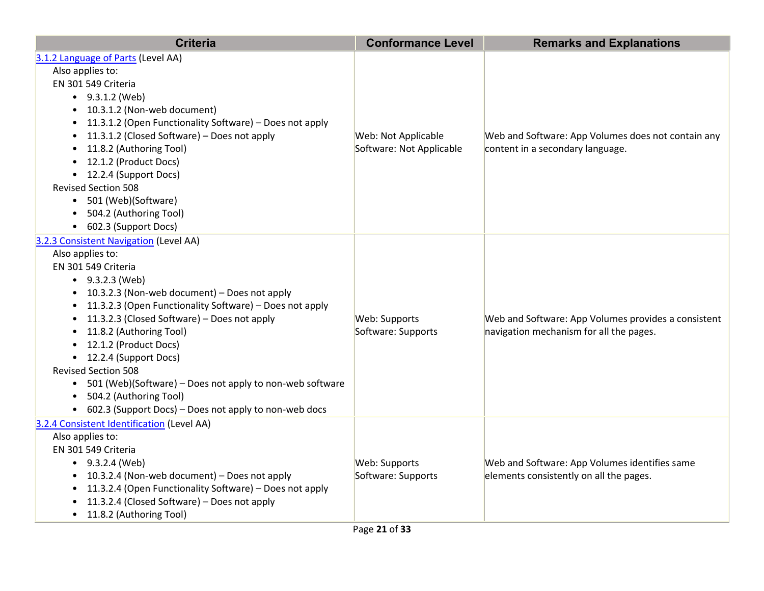| <b>Criteria</b>                                                                                                                                                                                                                                                                                                                                                                                                                                                                                                                             | <b>Conformance Level</b>                        | <b>Remarks and Explanations</b>                                                                |
|---------------------------------------------------------------------------------------------------------------------------------------------------------------------------------------------------------------------------------------------------------------------------------------------------------------------------------------------------------------------------------------------------------------------------------------------------------------------------------------------------------------------------------------------|-------------------------------------------------|------------------------------------------------------------------------------------------------|
| 3.1.2 Language of Parts (Level AA)<br>Also applies to:<br>EN 301 549 Criteria<br>$-9.3.1.2$ (Web)<br>• 10.3.1.2 (Non-web document)<br>• 11.3.1.2 (Open Functionality Software) - Does not apply<br>• 11.3.1.2 (Closed Software) – Does not apply<br>11.8.2 (Authoring Tool)<br>$\bullet$<br>• 12.1.2 (Product Docs)<br>• 12.2.4 (Support Docs)<br><b>Revised Section 508</b><br>• 501 (Web)(Software)<br>504.2 (Authoring Tool)<br>• 602.3 (Support Docs)                                                                                   | Web: Not Applicable<br>Software: Not Applicable | Web and Software: App Volumes does not contain any<br>content in a secondary language.         |
| 3.2.3 Consistent Navigation (Level AA)<br>Also applies to:<br>EN 301 549 Criteria<br>$-9.3.2.3$ (Web)<br>• 10.3.2.3 (Non-web document) - Does not apply<br>• 11.3.2.3 (Open Functionality Software) - Does not apply<br>• 11.3.2.3 (Closed Software) – Does not apply<br>• 11.8.2 (Authoring Tool)<br>• 12.1.2 (Product Docs)<br>• 12.2.4 (Support Docs)<br><b>Revised Section 508</b><br>• 501 (Web)(Software) - Does not apply to non-web software<br>• 504.2 (Authoring Tool)<br>• 602.3 (Support Docs) - Does not apply to non-web docs | Web: Supports<br>Software: Supports             | Web and Software: App Volumes provides a consistent<br>navigation mechanism for all the pages. |
| 3.2.4 Consistent Identification (Level AA)<br>Also applies to:<br>EN 301 549 Criteria<br>$\bullet$ 9.3.2.4 (Web)<br>• 10.3.2.4 (Non-web document) - Does not apply<br>11.3.2.4 (Open Functionality Software) - Does not apply<br>11.3.2.4 (Closed Software) - Does not apply<br>• 11.8.2 (Authoring Tool)                                                                                                                                                                                                                                   | Web: Supports<br>Software: Supports             | Web and Software: App Volumes identifies same<br>elements consistently on all the pages.       |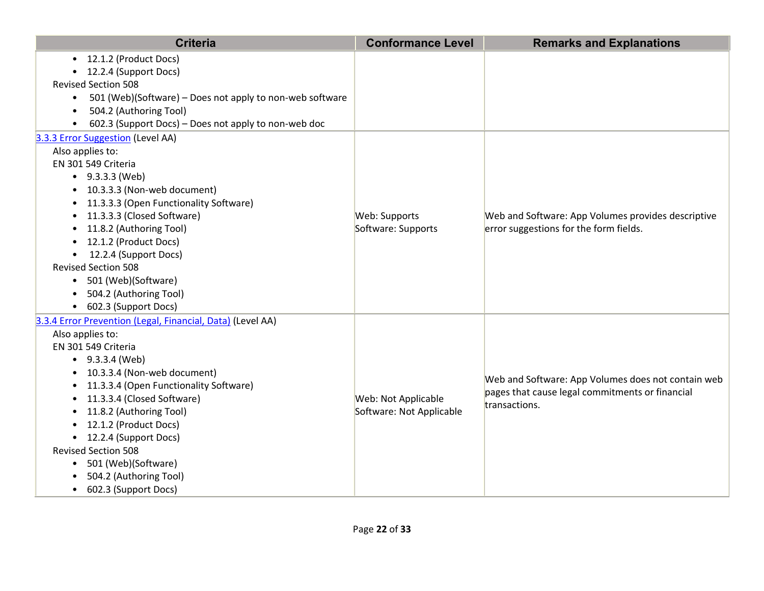| <b>Criteria</b>                                                       | <b>Conformance Level</b> | <b>Remarks and Explanations</b>                    |
|-----------------------------------------------------------------------|--------------------------|----------------------------------------------------|
| • 12.1.2 (Product Docs)                                               |                          |                                                    |
| • 12.2.4 (Support Docs)                                               |                          |                                                    |
| <b>Revised Section 508</b>                                            |                          |                                                    |
| 501 (Web)(Software) - Does not apply to non-web software<br>$\bullet$ |                          |                                                    |
| 504.2 (Authoring Tool)<br>$\bullet$                                   |                          |                                                    |
| 602.3 (Support Docs) - Does not apply to non-web doc                  |                          |                                                    |
| 3.3.3 Error Suggestion (Level AA)                                     |                          |                                                    |
| Also applies to:                                                      |                          |                                                    |
| EN 301 549 Criteria                                                   |                          |                                                    |
| $\bullet$ 9.3.3.3 (Web)                                               |                          |                                                    |
| • 10.3.3.3 (Non-web document)                                         |                          |                                                    |
| 11.3.3.3 (Open Functionality Software)                                |                          |                                                    |
| 11.3.3.3 (Closed Software)<br>$\bullet$                               | Web: Supports            | Web and Software: App Volumes provides descriptive |
| 11.8.2 (Authoring Tool)                                               | Software: Supports       | error suggestions for the form fields.             |
| • 12.1.2 (Product Docs)                                               |                          |                                                    |
| • 12.2.4 (Support Docs)                                               |                          |                                                    |
| <b>Revised Section 508</b>                                            |                          |                                                    |
| 501 (Web)(Software)<br>$\bullet$                                      |                          |                                                    |
| 504.2 (Authoring Tool)                                                |                          |                                                    |
| 602.3 (Support Docs)<br>$\bullet$                                     |                          |                                                    |
| 3.3.4 Error Prevention (Legal, Financial, Data) (Level AA)            |                          |                                                    |
| Also applies to:                                                      |                          |                                                    |
| EN 301 549 Criteria                                                   |                          |                                                    |
| $-9.3.3.4$ (Web)                                                      |                          |                                                    |
| • 10.3.3.4 (Non-web document)                                         |                          | Web and Software: App Volumes does not contain web |
| • 11.3.3.4 (Open Functionality Software)                              |                          | pages that cause legal commitments or financial    |
| 11.3.3.4 (Closed Software)                                            | Web: Not Applicable      | transactions.                                      |
| 11.8.2 (Authoring Tool)                                               | Software: Not Applicable |                                                    |
| 12.1.2 (Product Docs)                                                 |                          |                                                    |
| • 12.2.4 (Support Docs)                                               |                          |                                                    |
| <b>Revised Section 508</b>                                            |                          |                                                    |
| 501 (Web)(Software)<br>$\bullet$                                      |                          |                                                    |
| 504.2 (Authoring Tool)                                                |                          |                                                    |
| 602.3 (Support Docs)<br>$\bullet$                                     |                          |                                                    |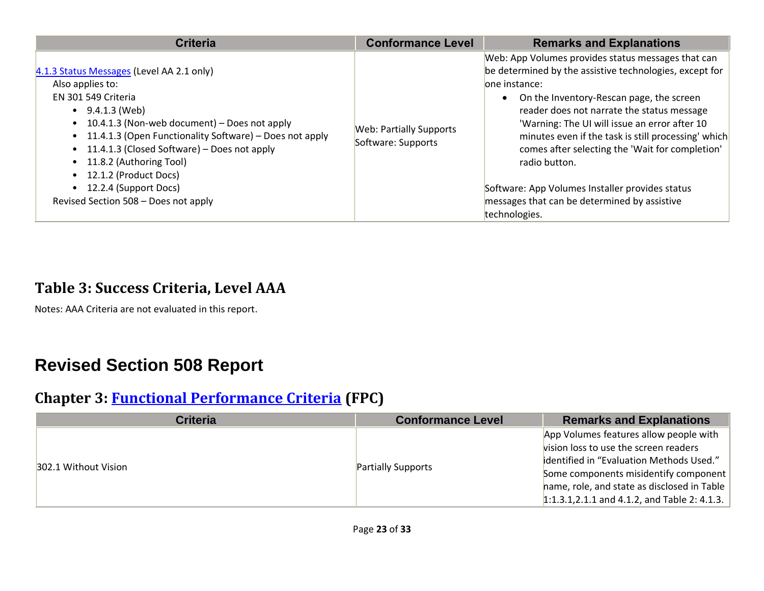| <b>Criteria</b>                                                                                                                                                                                                                                                                                                                                                                                            | <b>Conformance Level</b>                             | <b>Remarks and Explanations</b>                                                                                                                                                                                                                                                                                                                                                                                                                                                                                           |
|------------------------------------------------------------------------------------------------------------------------------------------------------------------------------------------------------------------------------------------------------------------------------------------------------------------------------------------------------------------------------------------------------------|------------------------------------------------------|---------------------------------------------------------------------------------------------------------------------------------------------------------------------------------------------------------------------------------------------------------------------------------------------------------------------------------------------------------------------------------------------------------------------------------------------------------------------------------------------------------------------------|
| 4.1.3 Status Messages (Level AA 2.1 only)<br>Also applies to:<br>EN 301 549 Criteria<br>$\bullet$ 9.4.1.3 (Web)<br>• 10.4.1.3 (Non-web document) – Does not apply<br>• 11.4.1.3 (Open Functionality Software) - Does not apply<br>• 11.4.1.3 (Closed Software) – Does not apply<br>• 11.8.2 (Authoring Tool)<br>• 12.1.2 (Product Docs)<br>• 12.2.4 (Support Docs)<br>Revised Section 508 - Does not apply | <b>Web: Partially Supports</b><br>Software: Supports | Web: App Volumes provides status messages that can<br>be determined by the assistive technologies, except for<br>lone instance:<br>On the Inventory-Rescan page, the screen<br>reader does not narrate the status message<br>'Warning: The UI will issue an error after 10<br>minutes even if the task is still processing' which<br>comes after selecting the 'Wait for completion'<br>radio button.<br>Software: App Volumes Installer provides status<br>messages that can be determined by assistive<br>technologies. |

#### **Table 3: Success Criteria, Level AAA**

Notes: AAA Criteria are not evaluated in this report.

## **Revised Section 508 Report**

#### **Chapter 3: [Functional Performance Criteria](https://www.access-board.gov/guidelines-and-standards/communications-and-it/about-the-ict-refresh/final-rule/text-of-the-standards-and-guidelines#302-functional-performance-criteria) (FPC)**

| <b>Criteria</b>      | <b>Conformance Level</b>  | <b>Remarks and Explanations</b>                     |
|----------------------|---------------------------|-----------------------------------------------------|
| 302.1 Without Vision |                           | App Volumes features allow people with              |
|                      |                           | vision loss to use the screen readers               |
|                      | <b>Partially Supports</b> | identified in "Evaluation Methods Used."            |
|                      |                           | Some components misidentify component               |
|                      |                           | hame, role, and state as disclosed in Table $\vert$ |
|                      |                           | 1:1.3.1,2.1.1 and 4.1.2, and Table 2: 4.1.3.        |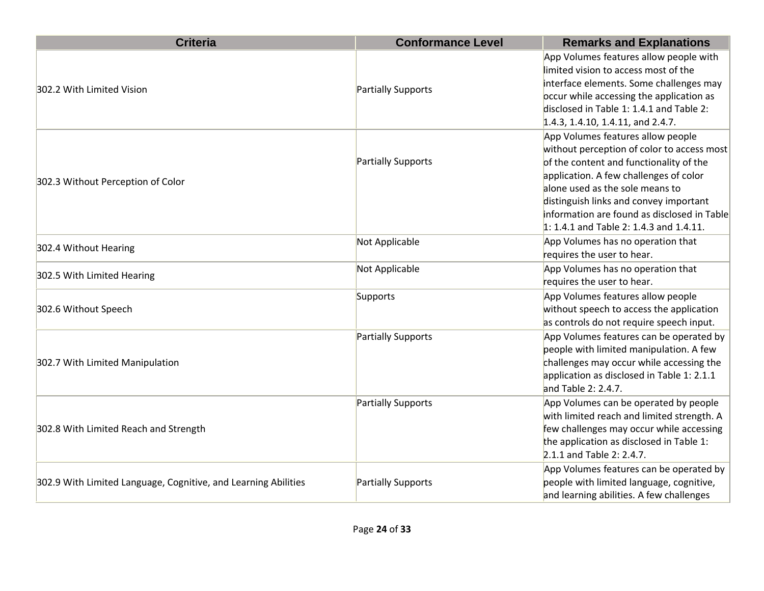| <b>Criteria</b>                                                | <b>Conformance Level</b> | <b>Remarks and Explanations</b>                                                                                                                                                                                                                                                                                                               |
|----------------------------------------------------------------|--------------------------|-----------------------------------------------------------------------------------------------------------------------------------------------------------------------------------------------------------------------------------------------------------------------------------------------------------------------------------------------|
| 302.2 With Limited Vision                                      | Partially Supports       | App Volumes features allow people with<br>limited vision to access most of the<br>interface elements. Some challenges may<br>occur while accessing the application as<br>disclosed in Table 1: 1.4.1 and Table 2:<br>1.4.3, 1.4.10, 1.4.11, and 2.4.7.                                                                                        |
| 302.3 Without Perception of Color                              | Partially Supports       | App Volumes features allow people<br>without perception of color to access most<br>of the content and functionality of the<br>application. A few challenges of color<br>alone used as the sole means to<br>distinguish links and convey important<br>information are found as disclosed in Table<br>$1: 1.4.1$ and Table 2: 1.4.3 and 1.4.11. |
| 302.4 Without Hearing                                          | Not Applicable           | App Volumes has no operation that<br>requires the user to hear.                                                                                                                                                                                                                                                                               |
| 302.5 With Limited Hearing                                     | Not Applicable           | App Volumes has no operation that<br>requires the user to hear.                                                                                                                                                                                                                                                                               |
| 302.6 Without Speech                                           | Supports                 | App Volumes features allow people<br>without speech to access the application<br>as controls do not require speech input.                                                                                                                                                                                                                     |
| 302.7 With Limited Manipulation                                | Partially Supports       | App Volumes features can be operated by<br>people with limited manipulation. A few<br>challenges may occur while accessing the<br>application as disclosed in Table 1: 2.1.1<br>and Table 2: 2.4.7.                                                                                                                                           |
| 302.8 With Limited Reach and Strength                          | Partially Supports       | App Volumes can be operated by people<br>with limited reach and limited strength. A<br>few challenges may occur while accessing<br>the application as disclosed in Table 1:<br>2.1.1 and Table 2: 2.4.7.                                                                                                                                      |
| 302.9 With Limited Language, Cognitive, and Learning Abilities | Partially Supports       | App Volumes features can be operated by<br>people with limited language, cognitive,<br>and learning abilities. A few challenges                                                                                                                                                                                                               |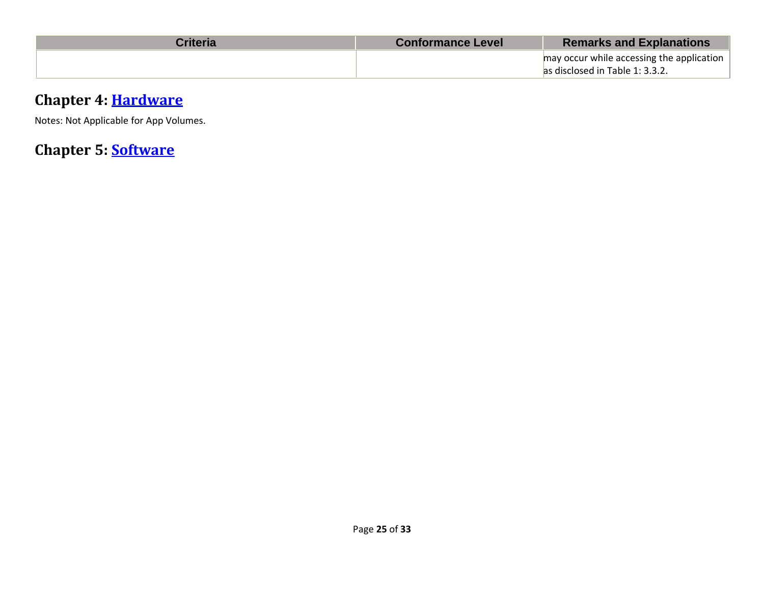| Criteria | <b>Conformance Level</b> | <b>Remarks and Explanations</b>           |
|----------|--------------------------|-------------------------------------------|
|          |                          | may occur while accessing the application |
|          |                          | as disclosed in Table 1: 3.3.2.           |

#### **Chapter 4: [Hardware](http://www.w3.org/TR/WCAG20/#401-general)**

Notes: Not Applicable for App Volumes.

**Chapter 5: [Software](http://www.w3.org/TR/WCAG20/#501-general)**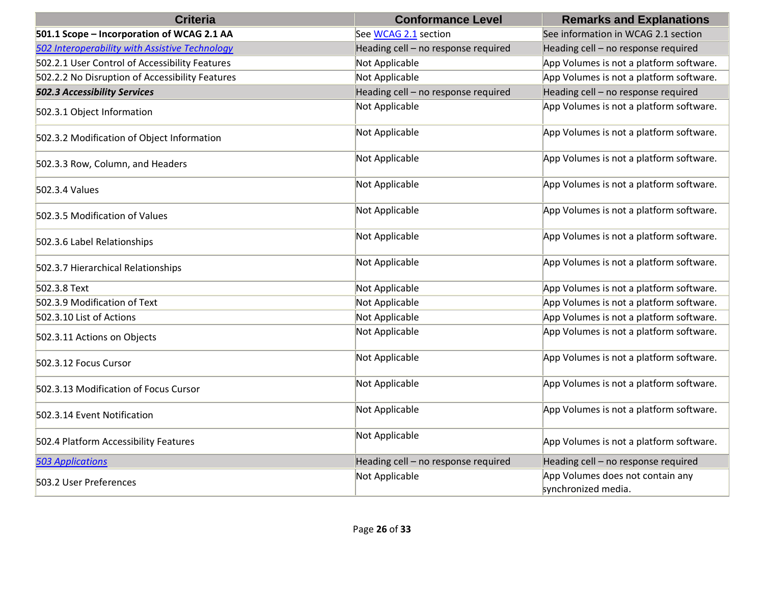| <b>Criteria</b>                                 | <b>Conformance Level</b>            | <b>Remarks and Explanations</b>                         |
|-------------------------------------------------|-------------------------------------|---------------------------------------------------------|
| 501.1 Scope - Incorporation of WCAG 2.1 AA      | See WCAG 2.1 section                | See information in WCAG 2.1 section                     |
| 502 Interoperability with Assistive Technology  | Heading cell - no response required | Heading cell - no response required                     |
| 502.2.1 User Control of Accessibility Features  | Not Applicable                      | App Volumes is not a platform software.                 |
| 502.2.2 No Disruption of Accessibility Features | Not Applicable                      | App Volumes is not a platform software.                 |
| <b>502.3 Accessibility Services</b>             | Heading cell - no response required | Heading cell - no response required                     |
| 502.3.1 Object Information                      | Not Applicable                      | App Volumes is not a platform software.                 |
| 502.3.2 Modification of Object Information      | Not Applicable                      | App Volumes is not a platform software.                 |
| 502.3.3 Row, Column, and Headers                | Not Applicable                      | App Volumes is not a platform software.                 |
| 502.3.4 Values                                  | Not Applicable                      | App Volumes is not a platform software.                 |
| 502.3.5 Modification of Values                  | Not Applicable                      | App Volumes is not a platform software.                 |
| 502.3.6 Label Relationships                     | Not Applicable                      | App Volumes is not a platform software.                 |
| 502.3.7 Hierarchical Relationships              | Not Applicable                      | App Volumes is not a platform software.                 |
| 502.3.8 Text                                    | Not Applicable                      | App Volumes is not a platform software.                 |
| 502.3.9 Modification of Text                    | Not Applicable                      | App Volumes is not a platform software.                 |
| 502.3.10 List of Actions                        | Not Applicable                      | App Volumes is not a platform software.                 |
| 502.3.11 Actions on Objects                     | Not Applicable                      | App Volumes is not a platform software.                 |
| 502.3.12 Focus Cursor                           | Not Applicable                      | App Volumes is not a platform software.                 |
| 502.3.13 Modification of Focus Cursor           | Not Applicable                      | App Volumes is not a platform software.                 |
| 502.3.14 Event Notification                     | Not Applicable                      | App Volumes is not a platform software.                 |
| 502.4 Platform Accessibility Features           | Not Applicable                      | App Volumes is not a platform software.                 |
| <b>503 Applications</b>                         | Heading cell - no response required | Heading cell - no response required                     |
| 503.2 User Preferences                          | Not Applicable                      | App Volumes does not contain any<br>synchronized media. |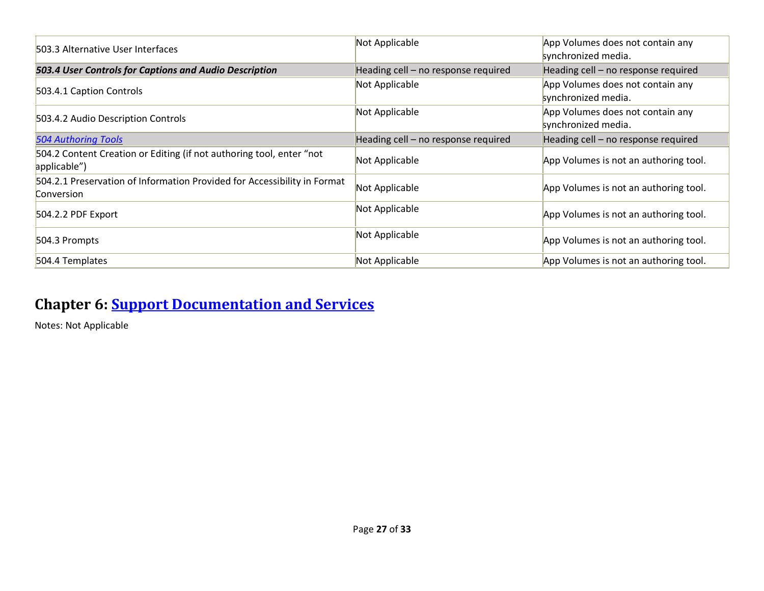| 503.3 Alternative User Interfaces                                                      | Not Applicable                      | App Volumes does not contain any<br>synchronized media. |
|----------------------------------------------------------------------------------------|-------------------------------------|---------------------------------------------------------|
| 503.4 User Controls for Captions and Audio Description                                 | Heading cell - no response required | Heading cell - no response required                     |
| 503.4.1 Caption Controls                                                               | Not Applicable                      | App Volumes does not contain any<br>synchronized media. |
| 503.4.2 Audio Description Controls                                                     | Not Applicable                      | App Volumes does not contain any<br>synchronized media. |
| <b>504 Authoring Tools</b>                                                             | Heading cell - no response required | Heading cell - no response required                     |
| 504.2 Content Creation or Editing (if not authoring tool, enter "not<br>applicable")   | Not Applicable                      | App Volumes is not an authoring tool.                   |
| 504.2.1 Preservation of Information Provided for Accessibility in Format<br>Conversion | Not Applicable                      | App Volumes is not an authoring tool.                   |
| 504.2.2 PDF Export                                                                     | Not Applicable                      | App Volumes is not an authoring tool.                   |
| 504.3 Prompts                                                                          | Not Applicable                      | App Volumes is not an authoring tool.                   |
| 504.4 Templates                                                                        | Not Applicable                      | App Volumes is not an authoring tool.                   |

## **Chapter 6: [Support Documentation and Services](https://www.w3.org/TR/WCAG21/#601-general)**

Notes: Not Applicable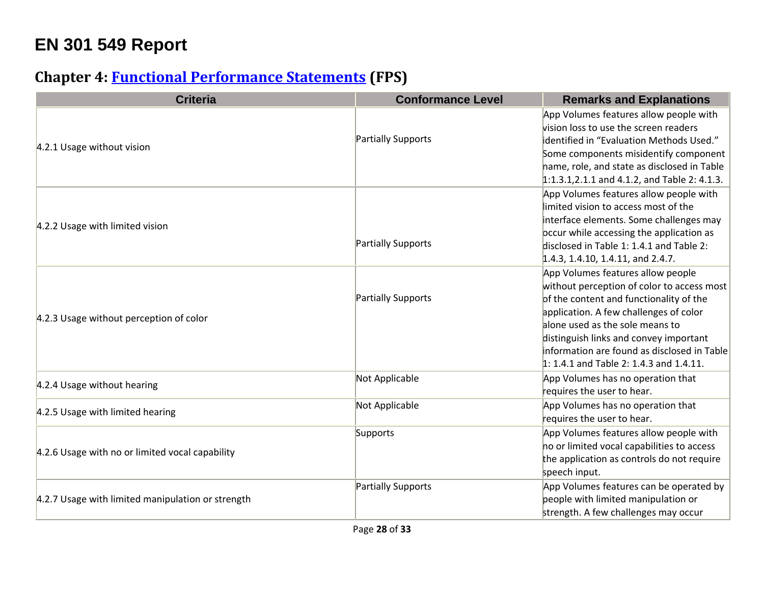## **EN 301 549 Report**

## **Chapter 4: [Functional Performance Statements](mailto:accessibility@vmware.com#%5B%7B%22num%22%3A38%2C%22gen%22%3A0%7D%2C%7B%22name%22%3A%22XYZ%22%7D%2C54%2C747%2C0%5D) (FPS)**

| <b>Criteria</b>                                   | <b>Conformance Level</b> | <b>Remarks and Explanations</b>                                                                                                                                                                                                                                                                                                             |
|---------------------------------------------------|--------------------------|---------------------------------------------------------------------------------------------------------------------------------------------------------------------------------------------------------------------------------------------------------------------------------------------------------------------------------------------|
| 4.2.1 Usage without vision                        | Partially Supports       | App Volumes features allow people with<br>vision loss to use the screen readers<br>identified in "Evaluation Methods Used."<br>Some components misidentify component<br>hame, role, and state as disclosed in Table<br>$1:1.3.1,2.1.1$ and 4.1.2, and Table 2: 4.1.3.                                                                       |
| 4.2.2 Usage with limited vision                   | Partially Supports       | App Volumes features allow people with<br>limited vision to access most of the<br>interface elements. Some challenges may<br>occur while accessing the application as<br>disclosed in Table 1: 1.4.1 and Table 2:<br>1.4.3, 1.4.10, 1.4.11, and 2.4.7.                                                                                      |
| 4.2.3 Usage without perception of color           | Partially Supports       | App Volumes features allow people<br>without perception of color to access most<br>of the content and functionality of the<br>application. A few challenges of color<br>alone used as the sole means to<br>distinguish links and convey important<br>information are found as disclosed in Table<br>1: 1.4.1 and Table 2: 1.4.3 and 1.4.11. |
| 4.2.4 Usage without hearing                       | Not Applicable           | App Volumes has no operation that<br>requires the user to hear.                                                                                                                                                                                                                                                                             |
| 4.2.5 Usage with limited hearing                  | Not Applicable           | App Volumes has no operation that<br>requires the user to hear.                                                                                                                                                                                                                                                                             |
| 4.2.6 Usage with no or limited vocal capability   | Supports                 | App Volumes features allow people with<br>no or limited vocal capabilities to access<br>the application as controls do not require<br>speech input.                                                                                                                                                                                         |
| 4.2.7 Usage with limited manipulation or strength | Partially Supports       | App Volumes features can be operated by<br>people with limited manipulation or<br>strength. A few challenges may occur                                                                                                                                                                                                                      |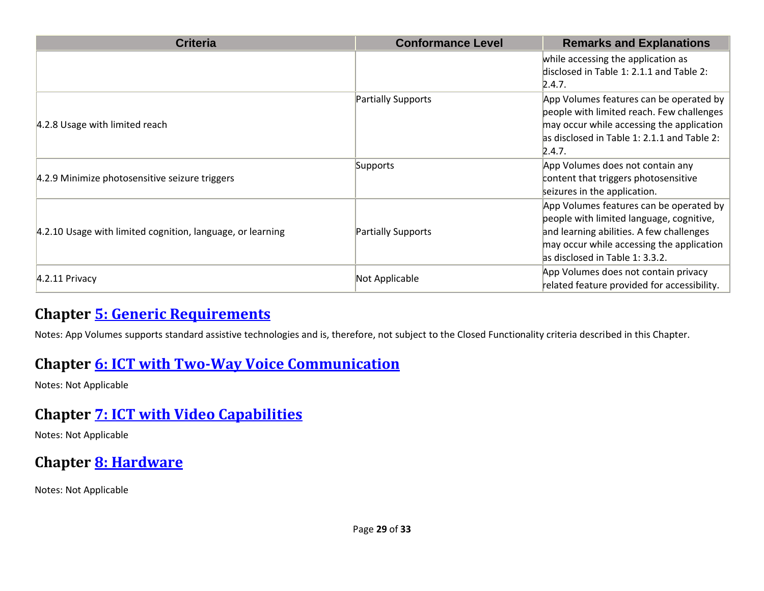| <b>Criteria</b>                                            | <b>Conformance Level</b>  | <b>Remarks and Explanations</b>                                                                                                                                                                                 |
|------------------------------------------------------------|---------------------------|-----------------------------------------------------------------------------------------------------------------------------------------------------------------------------------------------------------------|
|                                                            |                           | while accessing the application as<br>disclosed in Table 1: 2.1.1 and Table 2:<br>2.4.7.                                                                                                                        |
| 4.2.8 Usage with limited reach                             | <b>Partially Supports</b> | App Volumes features can be operated by<br>people with limited reach. Few challenges<br>may occur while accessing the application<br>as disclosed in Table 1: 2.1.1 and Table 2:<br>2.4.7.                      |
| 4.2.9 Minimize photosensitive seizure triggers             | Supports                  | App Volumes does not contain any<br>content that triggers photosensitive<br>seizures in the application.                                                                                                        |
| 4.2.10 Usage with limited cognition, language, or learning | Partially Supports        | App Volumes features can be operated by<br>people with limited language, cognitive,<br>and learning abilities. A few challenges<br>may occur while accessing the application<br>as disclosed in Table 1: 3.3.2. |
| $4.2.11$ Privacy                                           | Not Applicable            | App Volumes does not contain privacy<br>related feature provided for accessibility.                                                                                                                             |

#### **Chapter [5: Generic Requirements](https://www.w3.org/TR/WCAG21/#%5B%7B%22num%22%3A45%2C%22gen%22%3A0%7D%2C%7B%22name%22%3A%22XYZ%22%7D%2C54%2C747%2C0%5D)**

Notes: App Volumes supports standard assistive technologies and is, therefore, not subject to the Closed Functionality criteria described in this Chapter.

#### **Chapter 6: [ICT with Two-Way Voice Communication](https://www.access-board.gov/guidelines-and-standards/communications-and-it/about-the-ict-refresh/final-rule/text-of-the-standards-and-guidelines#%5B%7B%22num%22%3A60%2C%22gen%22%3A0%7D%2C%7B%22name%22%3A%22XYZ%22%7D%2C54%2C747%2C0%5D)**

Notes: Not Applicable

## **Chapter [7: ICT with Video Capabilities](https://www.etsi.org/deliver/etsi_en/301500_301599/301549/03.01.01_60/en_301549v030101p.pdf#%5B%7B%22num%22%3A70%2C%22gen%22%3A0%7D%2C%7B%22name%22%3A%22XYZ%22%7D%2C54%2C747%2C0%5D)**

Notes: Not Applicable

## **Chapter 8: [Hardware](https://www.access-board.gov/guidelines-and-standards/communications-and-it/about-the-ict-refresh/final-rule/text-of-the-standards-and-guidelines#%5B%7B%22num%22%3A74%2C%22gen%22%3A0%7D%2C%7B%22name%22%3A%22XYZ%22%7D%2C54%2C747%2C0%5D)**

Notes: Not Applicable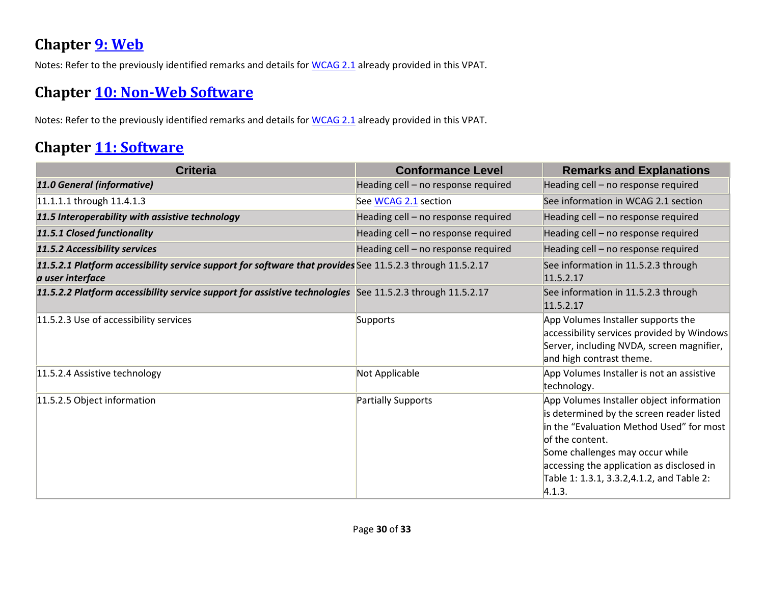#### **Chapter [9: Web](http://www.w3.org/TR/WCAG20/#%5B%7B%22num%22%3A113%2C%22gen%22%3A0%7D%2C%7B%22name%22%3A%22XYZ%22%7D%2C54%2C747%2C0%5D)**

Notes: Refer to the previously identified remarks and details for [WCAG 2.1](https://www.access-board.gov/guidelines-and-standards/communications-and-it/about-the-ict-refresh/final-rule/text-of-the-standards-and-guidelines#_WCAG_2.x_Report) already provided in this VPAT.

#### **Chapter [10: Non-Web Software](https://www.etsi.org/deliver/etsi_en/301500_301599/301549/03.01.01_60/en_301549v030101p.pdf#%5B%7B%22num%22%3A127%2C%22gen%22%3A0%7D%2C%7B%22name%22%3A%22XYZ%22%7D%2C54%2C747%2C0%5D)**

Notes: Refer to the previously identified remarks and details for [WCAG 2.1](https://www.etsi.org/deliver/etsi_en/301500_301599/301549/03.01.01_60/en_301549v030101p.pdf#_WCAG_2.x_Report) already provided in this VPAT.

#### **Chapter [11: Software](https://www.etsi.org/deliver/etsi_en/301500_301599/301549/03.01.01_60/en_301549v030101p.pdf#%5B%7B%22num%22%3A149%2C%22gen%22%3A0%7D%2C%7B%22name%22%3A%22XYZ%22%7D%2C54%2C747%2C0%5D)**

| <b>Criteria</b>                                                                                                               | <b>Conformance Level</b>            | <b>Remarks and Explanations</b>                                                                                                                                                                                                                                                              |
|-------------------------------------------------------------------------------------------------------------------------------|-------------------------------------|----------------------------------------------------------------------------------------------------------------------------------------------------------------------------------------------------------------------------------------------------------------------------------------------|
| 11.0 General (informative)                                                                                                    | Heading cell - no response required | Heading cell - no response required                                                                                                                                                                                                                                                          |
| 11.1.1.1 through 11.4.1.3                                                                                                     | See WCAG 2.1 section                | See information in WCAG 2.1 section                                                                                                                                                                                                                                                          |
| 11.5 Interoperability with assistive technology                                                                               | Heading cell - no response required | Heading cell - no response required                                                                                                                                                                                                                                                          |
| 11.5.1 Closed functionality                                                                                                   | Heading cell - no response required | Heading cell - no response required                                                                                                                                                                                                                                                          |
| 11.5.2 Accessibility services                                                                                                 | Heading cell - no response required | Heading cell - no response required                                                                                                                                                                                                                                                          |
| 11.5.2.1 Platform accessibility service support for software that provides See 11.5.2.3 through 11.5.2.17<br>a user interface |                                     | See information in 11.5.2.3 through<br>11.5.2.17                                                                                                                                                                                                                                             |
| 11.5.2.2 Platform accessibility service support for assistive technologies See 11.5.2.3 through 11.5.2.17                     |                                     | See information in 11.5.2.3 through<br>11.5.2.17                                                                                                                                                                                                                                             |
| 11.5.2.3 Use of accessibility services                                                                                        | Supports                            | App Volumes Installer supports the<br>accessibility services provided by Windows<br>Server, including NVDA, screen magnifier,<br>and high contrast theme.                                                                                                                                    |
| 11.5.2.4 Assistive technology                                                                                                 | Not Applicable                      | App Volumes Installer is not an assistive<br>technology.                                                                                                                                                                                                                                     |
| 11.5.2.5 Object information                                                                                                   | Partially Supports                  | App Volumes Installer object information<br>is determined by the screen reader listed<br>in the "Evaluation Method Used" for most<br>of the content.<br>Some challenges may occur while<br>accessing the application as disclosed in<br>Table 1: 1.3.1, 3.3.2,4.1.2, and Table 2:<br> 4.1.3. |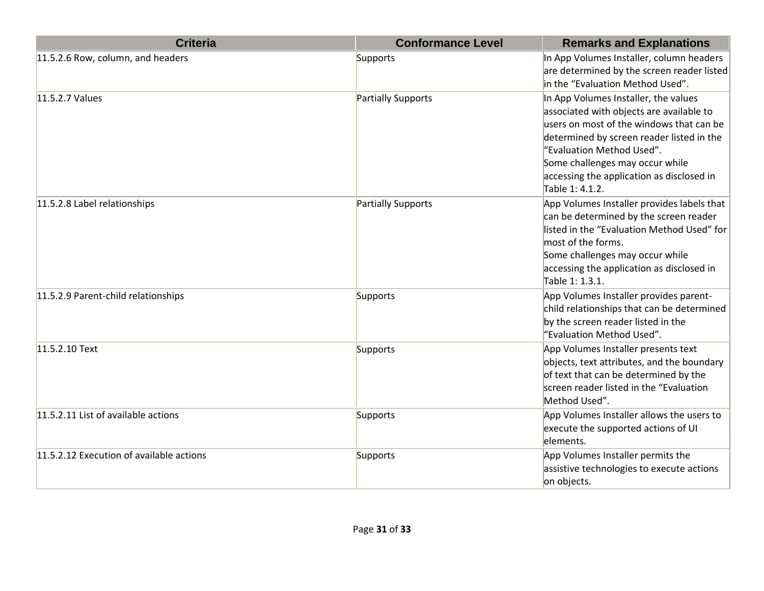| <b>Criteria</b>                          | <b>Conformance Level</b> | <b>Remarks and Explanations</b>                                                                                                                                                                                                                                                                           |
|------------------------------------------|--------------------------|-----------------------------------------------------------------------------------------------------------------------------------------------------------------------------------------------------------------------------------------------------------------------------------------------------------|
| 11.5.2.6 Row, column, and headers        | Supports                 | In App Volumes Installer, column headers<br>are determined by the screen reader listed<br>in the "Evaluation Method Used".                                                                                                                                                                                |
| 11.5.2.7 Values                          | Partially Supports       | In App Volumes Installer, the values<br>associated with objects are available to<br>users on most of the windows that can be<br>determined by screen reader listed in the<br>"Evaluation Method Used".<br>Some challenges may occur while<br>accessing the application as disclosed in<br>Table 1: 4.1.2. |
| 11.5.2.8 Label relationships             | Partially Supports       | App Volumes Installer provides labels that<br>can be determined by the screen reader<br>listed in the "Evaluation Method Used" for<br>$ most\>$ of the forms.<br>Some challenges may occur while<br>accessing the application as disclosed in<br>Table 1: 1.3.1.                                          |
| 11.5.2.9 Parent-child relationships      | Supports                 | App Volumes Installer provides parent-<br>child relationships that can be determined<br>by the screen reader listed in the<br>"Evaluation Method Used".                                                                                                                                                   |
| 11.5.2.10 Text                           | Supports                 | App Volumes Installer presents text<br>objects, text attributes, and the boundary<br>of text that can be determined by the<br>screen reader listed in the "Evaluation<br>Method Used".                                                                                                                    |
| 11.5.2.11 List of available actions      | Supports                 | App Volumes Installer allows the users to<br>execute the supported actions of UI<br>elements.                                                                                                                                                                                                             |
| 11.5.2.12 Execution of available actions | Supports                 | App Volumes Installer permits the<br>assistive technologies to execute actions<br>on objects.                                                                                                                                                                                                             |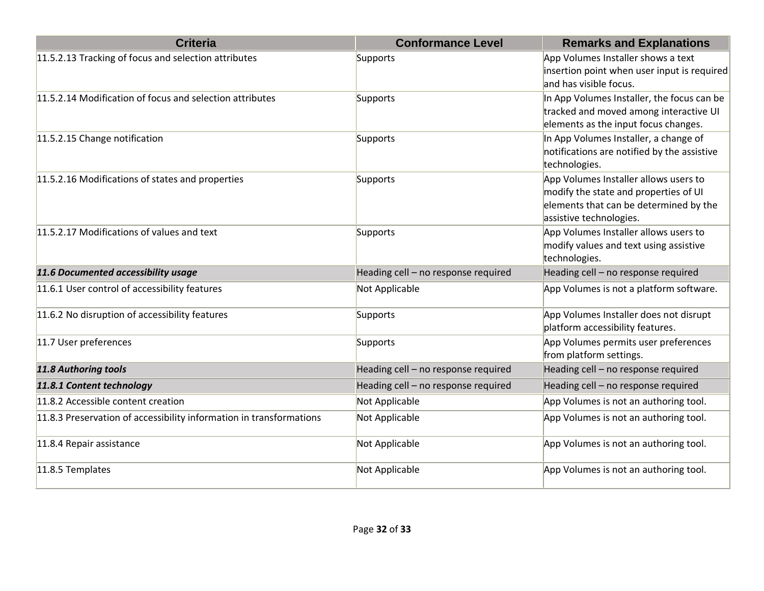| <b>Criteria</b>                                                     | <b>Conformance Level</b>            | <b>Remarks and Explanations</b>                                                                                                                     |
|---------------------------------------------------------------------|-------------------------------------|-----------------------------------------------------------------------------------------------------------------------------------------------------|
| 11.5.2.13 Tracking of focus and selection attributes                | Supports                            | App Volumes Installer shows a text<br>insertion point when user input is required<br>and has visible focus.                                         |
| 11.5.2.14 Modification of focus and selection attributes            | Supports                            | In App Volumes Installer, the focus can be<br>tracked and moved among interactive UI<br>elements as the input focus changes.                        |
| 11.5.2.15 Change notification                                       | Supports                            | In App Volumes Installer, a change of<br>notifications are notified by the assistive<br>technologies.                                               |
| 11.5.2.16 Modifications of states and properties                    | Supports                            | App Volumes Installer allows users to<br>modify the state and properties of UI<br>elements that can be determined by the<br>assistive technologies. |
| 11.5.2.17 Modifications of values and text                          | Supports                            | App Volumes Installer allows users to<br>modify values and text using assistive<br>technologies.                                                    |
| 11.6 Documented accessibility usage                                 | Heading cell - no response required | Heading cell - no response required                                                                                                                 |
| 11.6.1 User control of accessibility features                       | Not Applicable                      | App Volumes is not a platform software.                                                                                                             |
| 11.6.2 No disruption of accessibility features                      | Supports                            | App Volumes Installer does not disrupt<br>platform accessibility features.                                                                          |
| 11.7 User preferences                                               | Supports                            | App Volumes permits user preferences<br>from platform settings.                                                                                     |
| 11.8 Authoring tools                                                | Heading cell - no response required | Heading cell - no response required                                                                                                                 |
| 11.8.1 Content technology                                           | Heading cell - no response required | Heading cell - no response required                                                                                                                 |
| 11.8.2 Accessible content creation                                  | Not Applicable                      | App Volumes is not an authoring tool.                                                                                                               |
| 11.8.3 Preservation of accessibility information in transformations | Not Applicable                      | App Volumes is not an authoring tool.                                                                                                               |
| 11.8.4 Repair assistance                                            | Not Applicable                      | App Volumes is not an authoring tool.                                                                                                               |
| 11.8.5 Templates                                                    | Not Applicable                      | App Volumes is not an authoring tool.                                                                                                               |